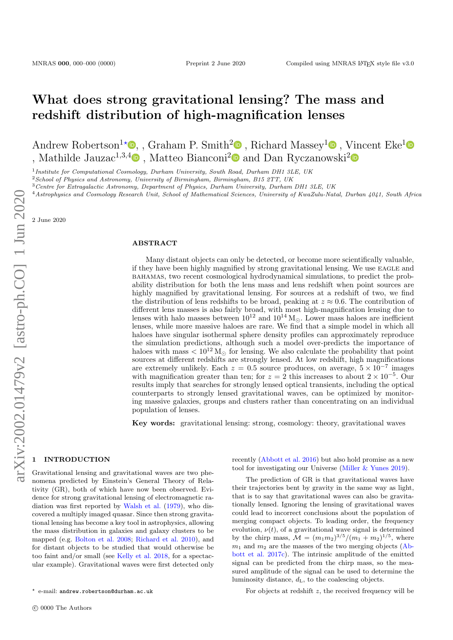# What does strong gravitational lensing? The mass and redshift distribution of high-magnification lenses

Andrew Robertson<sup>[1](https://orcid.org/0000-0001-5416-8675)\*</sup><sup> $\bullet$ </sup>[,](https://orcid.org/0000-0002-0086-0524) , Graham P. Smith<sup>[2](https://orcid.org/0000-0003-4494-8277)</sup> $\bullet$ , Richard Massey<sup>1</sup> $\bullet$ , Vincent Eke<sup>1</sup> , Mathilde Jauzac<sup>1,3,[4](https://orcid.org/0000-0003-1974-8732)</sup> $\bullet$ , Matteo Bianconi<sup>[2](https://orcid.org/0000-0002-4429-3429)</sup> $\bullet$  and Dan Ryczanowski<sup>2</sup>

<sup>1</sup> Institute for Computational Cosmology, Durham University, South Road, Durham DH1 3LE, UK

 $2$ School of Physics and Astronomy, University of Birmingham, Birmingham, B15 2TT, UK

<sup>3</sup>Centre for Extragalactic Astronomy, Department of Physics, Durham University, Durham DH1 3LE, UK

<sup>4</sup>Astrophysics and Cosmology Research Unit, School of Mathematical Sciences, University of KwaZulu-Natal, Durban 4041, South Africa

2 June 2020

## ABSTRACT

Many distant objects can only be detected, or become more scientifically valuable, if they have been highly magnified by strong gravitational lensing. We use eagle and bahamas, two recent cosmological hydrodynamical simulations, to predict the probability distribution for both the lens mass and lens redshift when point sources are highly magnified by gravitational lensing. For sources at a redshift of two, we find the distribution of lens redshifts to be broad, peaking at  $z \approx 0.6$ . The contribution of different lens masses is also fairly broad, with most high-magnification lensing due to lenses with halo masses between  $10^{12}$  and  $10^{14}$  M<sub>o</sub>. Lower mass haloes are inefficient lenses, while more massive haloes are rare. We find that a simple model in which all haloes have singular isothermal sphere density profiles can approximately reproduce the simulation predictions, although such a model over-predicts the importance of haloes with mass  $< 10^{12} M_{\odot}$  for lensing. We also calculate the probability that point sources at different redshifts are strongly lensed. At low redshift, high magnifications are extremely unlikely. Each  $z = 0.5$  source produces, on average,  $5 \times 10^{-7}$  images with magnification greater than ten; for  $z = 2$  this increases to about  $2 \times 10^{-5}$ . Our results imply that searches for strongly lensed optical transients, including the optical counterparts to strongly lensed gravitational waves, can be optimized by monitoring massive galaxies, groups and clusters rather than concentrating on an individual population of lenses.

Key words: gravitational lensing: strong, cosmology: theory, gravitational waves

## **INTRODUCTION**

Gravitational lensing and gravitational waves are two phenomena predicted by Einstein's General Theory of Relativity (GR), both of which have now been observed. Evidence for strong gravitational lensing of electromagnetic radiation was first reported by [Walsh et al.](#page-14-0) [\(1979\)](#page-14-0), who discovered a multiply imaged quasar. Since then strong gravitational lensing has become a key tool in astrophysics, allowing the mass distribution in galaxies and galaxy clusters to be mapped (e.g. [Bolton et al.](#page-13-0) [2008;](#page-13-0) [Richard et al.](#page-14-1) [2010\)](#page-14-1), and for distant objects to be studied that would otherwise be too faint and/or small (see [Kelly et al.](#page-13-1) [2018,](#page-13-1) for a spectacular example). Gravitational waves were first detected only

For objects at redshift  $z$ , the received frequency will be

recently [\(Abbott et al.](#page-13-2) [2016\)](#page-13-2) but also hold promise as a new tool for investigating our Universe [\(Miller & Yunes](#page-13-3) [2019\)](#page-13-3). The prediction of GR is that gravitational waves have

their trajectories bent by gravity in the same way as light, that is to say that gravitational waves can also be gravitationally lensed. Ignoring the lensing of gravitational waves could lead to incorrect conclusions about the population of merging compact objects. To leading order, the frequency evolution,  $\nu(t)$ , of a gravitational wave signal is determined by the chirp mass,  $\mathcal{M} = (m_1 m_2)^{3/5} / (m_1 + m_2)^{1/5}$ , where  $m_1$  and  $m_2$  are the masses of the two merging objects [\(Ab](#page-13-4)[bott et al.](#page-13-4) [2017c\)](#page-13-4). The intrinsic amplitude of the emitted signal can be predicted from the chirp mass, so the measured amplitude of the signal can be used to determine the luminosity distance,  $d_{\text{L}}$ , to the coalescing objects.

 $*$  e-mail: andrew.robertson@durham.ac.uk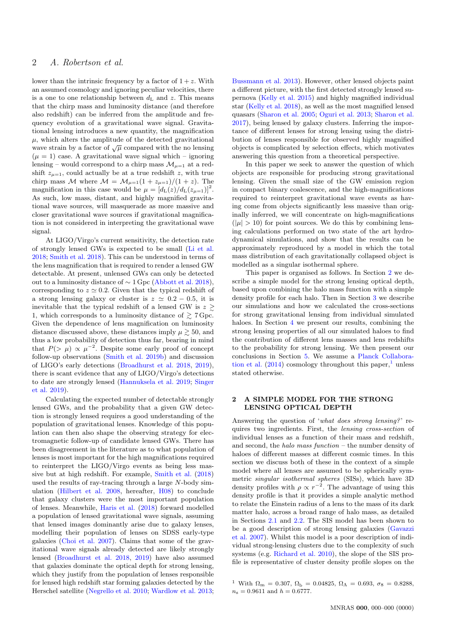lower than the intrinsic frequency by a factor of  $1 + z$ . With an assumed cosmology and ignoring peculiar velocities, there is a one to one relationship between  $d_{\text{L}}$  and z. This means that the chirp mass and luminosity distance (and therefore also redshift) can be inferred from the amplitude and frequency evolution of a gravitational wave signal. Gravitational lensing introduces a new quantity, the magnification  $\mu$ , which alters the amplitude of the detected gravitational wave strain by a factor of  $\sqrt{\mu}$  compared with the no lensing  $(\mu = 1)$  case. A gravitational wave signal which – ignoring lensing – would correspond to a chirp mass  $\mathcal{M}_{\mu=1}$  at a redshift  $z_{\mu=1}$ , could actually be at a true redshift z, with true chirp mass M where  $\mathcal{M} = \mathcal{M}_{\mu=1}(1+z_{\mu=1})/(1+z)$ . The magnification in this case would be  $\mu = [d_{\text{L}}(z)/d_{\text{L}}(z_{\mu=1})]^2$ . As such, low mass, distant, and highly magnified gravitational wave sources, will masquerade as more massive and closer gravitational wave sources if gravitational magnification is not considered in interpreting the gravitational wave signal.

At LIGO/Virgo's current sensitivity, the detection rate of strongly lensed GWs is expected to be small [\(Li et al.](#page-13-5) [2018;](#page-13-5) [Smith et al.](#page-14-2) [2018\)](#page-14-2). This can be understood in terms of the lens magnification that is required to render a lensed GW detectable. At present, unlensed GWs can only be detected out to a luminosity distance of  $\sim 1$  Gpc [\(Abbott et al.](#page-13-6) [2018\)](#page-13-6), corresponding to  $z \approx 0.2$ . Given that the typical redshift of a strong lensing galaxy or cluster is  $z \approx 0.2 - 0.5$ , it is inevitable that the typical redshift of a lensed GW is  $z \geq$ 1, which corresponds to a luminosity distance of  $\gtrsim 7 \text{ Gpc}$ . Given the dependence of lens magnification on luminosity distance discussed above, these distances imply  $\mu \geq 50$ , and thus a low probability of detection thus far, bearing in mind that  $P(\geq \mu) \propto \mu^{-2}$ . Despite some early proof of concept follow-up observations [\(Smith et al.](#page-14-3) [2019b\)](#page-14-3) and discussion of LIGO's early detections [\(Broadhurst et al.](#page-13-7) [2018,](#page-13-7) [2019\)](#page-13-8), there is scant evidence that any of LIGO/Virgo's detections to date are strongly lensed [\(Hannuksela et al.](#page-13-9) [2019;](#page-13-9) [Singer](#page-14-4) [et al.](#page-14-4) [2019\)](#page-14-4).

Calculating the expected number of detectable strongly lensed GWs, and the probability that a given GW detection is strongly lensed requires a good understanding of the population of gravitational lenses. Knowledge of this population can then also shape the observing strategy for electromagnetic follow-up of candidate lensed GWs. There has been disagreement in the literature as to what population of lenses is most important for the high magnifications required to reinterpret the LIGO/Virgo events as being less massive but at high redshift. For example, [Smith et al.](#page-14-2) [\(2018\)](#page-14-2) used the results of ray-tracing through a large N-body simulation [\(Hilbert et al.](#page-13-10) [2008,](#page-13-10) hereafter, [H08\)](#page-13-10) to conclude that galaxy clusters were the most important population of lenses. Meanwhile, [Haris et al.](#page-13-11) [\(2018\)](#page-13-11) forward modelled a population of lensed gravitational wave signals, assuming that lensed images dominantly arise due to galaxy lenses, modelling their population of lenses on SDSS early-type galaxies [\(Choi et al.](#page-13-12) [2007\)](#page-13-12). Claims that some of the gravitational wave signals already detected are likely strongly lensed [\(Broadhurst et al.](#page-13-7) [2018,](#page-13-7) [2019\)](#page-13-8) have also assumed that galaxies dominate the optical depth for strong lensing, which they justify from the population of lenses responsible for lensed high redshift star forming galaxies detected by the Herschel satellite [\(Negrello et al.](#page-13-13) [2010;](#page-13-13) [Wardlow et al.](#page-14-5) [2013;](#page-14-5) [Bussmann et al.](#page-13-14) [2013\)](#page-13-14). However, other lensed objects paint a different picture, with the first detected strongly lensed supernova [\(Kelly et al.](#page-13-15) [2015\)](#page-13-15) and highly magnified individual star [\(Kelly et al.](#page-13-1) [2018\)](#page-13-1), as well as the most magnified lensed quasars [\(Sharon et al.](#page-14-6) [2005;](#page-14-6) [Oguri et al.](#page-13-16) [2013;](#page-13-16) [Sharon et al.](#page-14-7) [2017\)](#page-14-7), being lensed by galaxy clusters. Inferring the importance of different lenses for strong lensing using the distribution of lenses responsible for observed highly magnified objects is complicated by selection effects, which motivates answering this question from a theoretical perspective.

In this paper we seek to answer the question of which objects are responsible for producing strong gravitational lensing. Given the small size of the GW emission region in compact binary coalescence, and the high-magnifications required to reinterpret gravitational wave events as having come from objects significantly less massive than originally inferred, we will concentrate on high-magnifications  $(|\mu| > 10)$  for point sources. We do this by combining lensing calculations performed on two state of the art hydrodynamical simulations, and show that the results can be approximately reproduced by a model in which the total mass distribution of each gravitationally collapsed object is modelled as a singular isothermal sphere.

This paper is organised as follows. In Section [2](#page-1-0) we describe a simple model for the strong lensing optical depth, based upon combining the halo mass function with a simple density profile for each halo. Then in Section [3](#page-4-0) we describe our simulations and how we calculated the cross-sections for strong gravitational lensing from individual simulated haloes. In Section [4](#page-6-0) we present our results, combining the strong lensing properties of all our simulated haloes to find the contribution of different lens masses and lens redshifts to the probability for strong lensing. We then present our conclusions in Section [5.](#page-12-0) We assume a [Planck Collabora](#page-14-8)[tion et al.](#page-14-8)  $(2014)$  cosmology throughout this paper,<sup>[1](#page-1-1)</sup> unless stated otherwise.

## <span id="page-1-0"></span>2 A SIMPLE MODEL FOR THE STRONG LENSING OPTICAL DEPTH

Answering the question of 'what does strong lensing?' requires two ingredients. First, the lensing cross-section of individual lenses as a function of their mass and redshift, and second, the halo mass function – the number density of haloes of different masses at different cosmic times. In this section we discuss both of these in the context of a simple model where all lenses are assumed to be spherically symmetric singular isothermal spheres (SISs), which have 3D density profiles with  $\rho \propto r^{-2}$ . The advantage of using this density profile is that it provides a simple analytic method to relate the Einstein radius of a lens to the mass of its dark matter halo, across a broad range of halo mass, as detailed in Sections [2.1](#page-2-0) and [2.2.](#page-2-1) The SIS model has been shown to be a good description of strong lensing galaxies [\(Gavazzi](#page-13-17) [et al.](#page-13-17) [2007\)](#page-13-17). Whilst this model is a poor description of individual strong-lensing clusters due to the complexity of such systems (e.g. [Richard et al.](#page-14-1) [2010\)](#page-14-1), the slope of the SIS profile is representative of cluster density profile slopes on the

<span id="page-1-1"></span><sup>1</sup> With  $\Omega_{\rm m} = 0.307, \Omega_{\rm b} = 0.04825, \Omega_{\Lambda} = 0.693, \sigma_8 = 0.8288,$  $n_s = 0.9611$  and  $h = 0.6777$ .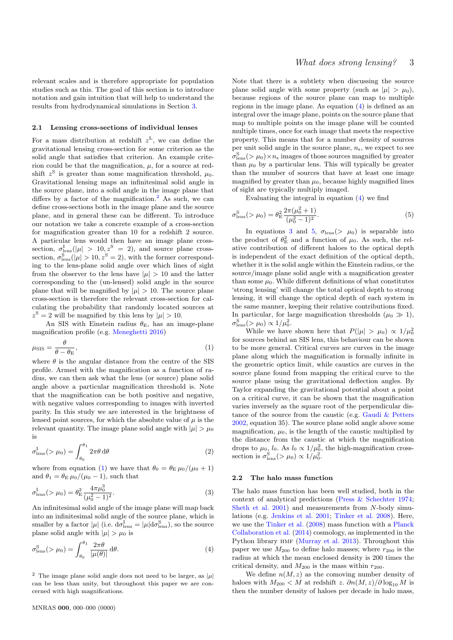relevant scales and is therefore appropriate for population studies such as this. The goal of this section is to introduce notation and gain intuition that will help to understand the results from hydrodynamical simulations in Section [3.](#page-4-0)

## <span id="page-2-0"></span>2.1 Lensing cross-sections of individual lenses

For a mass distribution at redshift  $z^L$ , we can define the gravitational lensing cross-section for some criterion as the solid angle that satisfies that criterion. An example criterion could be that the magnification,  $\mu$ , for a source at redshift  $z^{\text{S}}$  is greater than some magnification threshold,  $\mu_0$ . Gravitational lensing maps an infinitesimal solid angle in the source plane, into a solid angle in the image plane that differs by a factor of the magnification.<sup>[2](#page-2-2)</sup> As such, we can define cross-sections both in the image plane and the source plane, and in general these can be different. To introduce our notation we take a concrete example of a cross-section for magnification greater than 10 for a redshift 2 source. A particular lens would then have an image plane crosssection,  $\sigma_{\rm lens}^{\rm I}(|\mu| > 10, z^{\rm S} = 2)$ , and source plane crosssection,  $\sigma_{\text{lens}}^{\text{S}}(|\mu| > 10, z^{\text{S}} = 2)$ , with the former corresponding to the lens-plane solid angle over which lines of sight from the observer to the lens have  $|\mu| > 10$  and the latter corresponding to the (un-lensed) solid angle in the source plane that will be magnified by  $|\mu| > 10$ . The source plane cross-section is therefore the relevant cross-section for calculating the probability that randomly located sources at  $z^{\rm S}=2$  will be magnified by this lens by  $|\mu|>10$ .

An SIS with Einstein radius  $\theta_{\rm E}$ , has an image-plane magnification profile (e.g. [Meneghetti](#page-13-18) [2016\)](#page-13-18)

$$
\mu_{\text{SIS}} = \frac{\theta}{\theta - \theta_{\text{E}}},\tag{1}
$$

where  $\theta$  is the angular distance from the centre of the SIS profile. Armed with the magnification as a function of radius, we can then ask what the lens (or source) plane solid angle above a particular magnification threshold is. Note that the magnification can be both positive and negative, with negative values corresponding to images with inverted parity. In this study we are interested in the brightness of lensed point sources, for which the absolute value of  $\mu$  is the relevant quantity. The image plane solid angle with  $|\mu| > \mu_0$ is

$$
\sigma_{\rm lens}^{\rm I}(>\mu_0) = \int_{\theta_0}^{\theta_1} 2\pi\theta \,d\theta \tag{2}
$$

where from equation [\(1\)](#page-2-3) we have that  $\theta_0 = \theta_{\rm E} \mu_0/(\mu_0 + 1)$ and  $\theta_1 = \theta_{\rm E} \mu_0 / (\mu_0 - 1)$ , such that

$$
\sigma_{\rm lens}^{\rm I}(>\mu_0) = \theta_{\rm E}^2 \frac{4\pi\mu_0^3}{(\mu_0^2 - 1)^2}.
$$
\n(3)

An infinitesimal solid angle of the image plane will map back into an infinitesimal solid angle of the source plane, which is smaller by a factor  $|\mu|$  (i.e.  $d\sigma_{\rm lens}^{\rm I} = |\mu| d\sigma_{\rm lens}^{\rm S}$ ), so the source plane solid angle with  $|\mu| > \mu_0$  is

$$
\sigma_{\rm lens}^{\rm S}(>\mu_0) = \int_{\theta_0}^{\theta_1} \frac{2\pi\theta}{|\mu(\theta)|} \,\mathrm{d}\theta. \tag{4}
$$

<span id="page-2-2"></span><sup>2</sup> The image plane solid angle does not need to be larger, as  $|\mu|$ can be less than unity, but throughout this paper we are concerned with high magnifications.

Note that there is a subtlety when discussing the source plane solid angle with some property (such as  $|\mu| > \mu_0$ ). because regions of the source plane can map to multiple regions in the image plane. As equation [\(4\)](#page-2-4) is defined as an integral over the image plane, points on the source plane that map to multiple points on the image plane will be counted multiple times, once for each image that meets the respective property. This means that for a number density of sources per unit solid angle in the source plane,  $n_s$ , we expect to see  $\sigma_{\rm lens}^{\rm S}(>\mu_0)\times n_{\rm s}$  images of those sources magnified by greater than  $\mu_0$  by a particular lens. This will typically be greater than the number of sources that have at least one image magnified by greater than  $\mu_0$ , because highly magnified lines of sight are typically multiply imaged.

<span id="page-2-6"></span>Evaluating the integral in equation [\(4\)](#page-2-4) we find

$$
\sigma_{\rm lens}^{\rm S}(>\mu_0) = \theta_{\rm E}^2 \frac{2\pi(\mu_0^2 + 1)}{(\mu_0^2 - 1)^2}.
$$
\n(5)

In equations [3](#page-2-5) and [5,](#page-2-6)  $\sigma_{\rm lens}(>\mu_0)$  is separable into the product of  $\theta_{\rm E}^2$  and a function of  $\mu_0$ . As such, the relative contribution of different haloes to the optical depth is independent of the exact definition of the optical depth, whether it is the solid angle within the Einstein radius, or the source/image plane solid angle with a magnification greater than some  $\mu_0$ . While different definitions of what constitutes 'strong lensing' will change the total optical depth to strong lensing, it will change the optical depth of each system in the same manner, keeping their relative contributions fixed. In particular, for large magnification thresholds  $(\mu_0 \gg 1)$ ,  $\sigma_{\rm lens}^{\rm S}(>\mu_0)\propto 1/\mu_0^2$ .

<span id="page-2-3"></span>While we have shown here that  $P(|\mu| > \mu_0) \propto 1/\mu_0^2$ for sources behind an SIS lens, this behaviour can be shown to be more general. Critical curves are curves in the image plane along which the magnification is formally infinite in the geometric optics limit, while caustics are curves in the source plane found from mapping the critical curve to the source plane using the gravitational deflection angles. By Taylor expanding the gravitational potential about a point on a critical curve, it can be shown that the magnification varies inversely as the square root of the perpendicular distance of the source from the caustic (e.g. [Gaudi & Petters](#page-13-19) [2002,](#page-13-19) equation 35). The source plane solid angle above some magnification,  $\mu_0$ , is the length of the caustic multiplied by the distance from the caustic at which the magnification drops to  $\mu_0$ ,  $l_0$ . As  $l_0 \propto 1/\mu_0^2$ , the high-magnification crosssection is  $\sigma_{\rm lens}^{\rm S}(>\mu_0) \propto 1/\mu_0^2$ .

## <span id="page-2-5"></span><span id="page-2-1"></span>2.2 The halo mass function

<span id="page-2-4"></span>The halo mass function has been well studied, both in the context of analytical predictions [\(Press & Schechter](#page-14-9) [1974;](#page-14-9) [Sheth et al.](#page-14-10) [2001\)](#page-14-10) and measurements from N-body simulations (e.g. [Jenkins et al.](#page-13-20) [2001;](#page-13-20) [Tinker et al.](#page-14-11) [2008\)](#page-14-11). Here, we use the [Tinker et al.](#page-14-11) [\(2008\)](#page-14-11) mass function with a [Planck](#page-14-8) [Collaboration et al.](#page-14-8) [\(2014\)](#page-14-8) cosmology, as implemented in the Python library hmf [\(Murray et al.](#page-13-21) [2013\)](#page-13-21). Throughout this paper we use  $M_{200}$  to define halo masses; where  $r_{200}$  is the radius at which the mean enclosed density is 200 times the critical density, and  $M_{200}$  is the mass within  $r_{200}$ .

We define  $n(M, z)$  as the comoving number density of haloes with  $M_{200} < M$  at redshift z.  $\partial n(M, z)/\partial \log_{10} M$  is then the number density of haloes per decade in halo mass,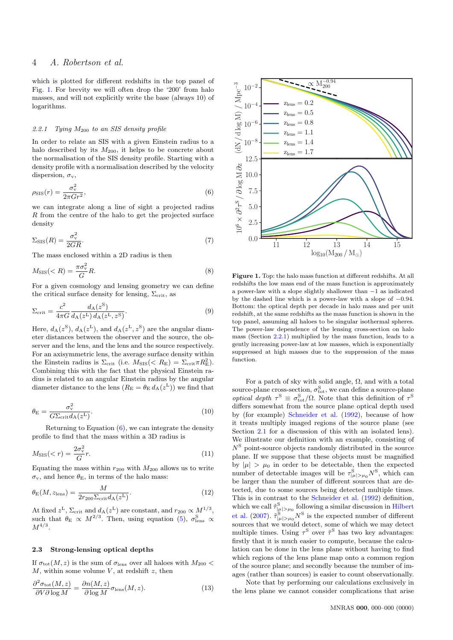which is plotted for different redshifts in the top panel of Fig. [1.](#page-3-0) For brevity we will often drop the '200' from halo masses, and will not explicitly write the base (always 10) of logarithms.

#### <span id="page-3-2"></span>2.2.1 Tying  $M_{200}$  to an SIS density profile

In order to relate an SIS with a given Einstein radius to a halo described by its  $M_{200}$ , it helps to be concrete about the normalisation of the SIS density profile. Starting with a density profile with a normalisation described by the velocity dispersion,  $\sigma_{\rm v}$ ,

<span id="page-3-1"></span>
$$
\rho_{\rm SIS}(r) = \frac{\sigma_{\rm v}^2}{2\pi G r^2},\tag{6}
$$

we can integrate along a line of sight a projected radius R from the centre of the halo to get the projected surface density

$$
\Sigma_{\rm SIS}(R) = \frac{\sigma_{\rm v}^2}{2GR}.\tag{7}
$$

The mass enclosed within a 2D radius is then

$$
M_{\rm SIS}(
$$

For a given cosmology and lensing geometry we can define the critical surface density for lensing,  $\Sigma_{\rm crit}$ , as

$$
\Sigma_{\rm crit} = \frac{c^2}{4\pi G} \frac{d_{\rm A}(z^{\rm S})}{d_{\rm A}(z^{\rm L}) d_{\rm A}(z^{\rm L}, z^{\rm S})}.
$$
\n(9)

Here,  $d_A(z^S)$ ,  $d_A(z^L)$ , and  $d_A(z^L, z^S)$  are the angular diameter distances between the observer and the source, the observer and the lens, and the lens and the source respectively. For an axisymmetric lens, the average surface density within the Einstein radius is  $\Sigma_{\rm crit}$  (i.e.  $M_{\rm SIS}(< R_{\rm E}) = \Sigma_{\rm crit} \pi R_{\rm E}^2$ ). Combining this with the fact that the physical Einstein radius is related to an angular Einstein radius by the angular diameter distance to the lens  $(R_{\rm E} = \theta_{\rm E} d_{\rm A}(z^{\rm L}))$  we find that

$$
\theta_{\rm E} = \frac{\sigma_{\rm v}^2}{G\Sigma_{\rm crit}d_{\rm A}(z^{\rm L})}.
$$
\n(10)

Returning to Equation  $(6)$ , we can integrate the density profile to find that the mass within a 3D radius is

$$
M_{\rm SIS}(
$$

Equating the mass within  $r_{200}$  with  $M_{200}$  allows us to write  $\sigma_{\rm v}$ , and hence  $\theta_{\rm E}$ , in terms of the halo mass:

$$
\theta_{\rm E}(M, z_{\rm lens}) = \frac{M}{2r_{200}\Sigma_{\rm crit}d_{\rm A}(z^{\rm L})}.
$$
\n(12)

At fixed  $z^L$ ,  $\Sigma_{\rm crit}$  and  $d_A(z^L)$  are constant, and  $r_{200} \propto M^{1/3}$ , such that  $\theta_{\rm E} \propto M^{2/3}$ . Then, using equation [\(5\)](#page-2-6),  $\sigma_{\rm lens}^{\rm S} \propto$  $M^{4/3}.$ 

#### 2.3 Strong-lensing optical depths

If  $\sigma_{\text{tot}}(M, z)$  is the sum of  $\sigma_{\text{lens}}$  over all haloes with  $M_{200}$  <  $M$ , within some volume  $V$ , at redshift  $z$ , then

$$
\frac{\partial^2 \sigma_{\text{tot}}(M, z)}{\partial V \partial \log M} = \frac{\partial n(M, z)}{\partial \log M} \sigma_{\text{lens}}(M, z). \tag{13}
$$



<span id="page-3-0"></span>Figure 1. Top: the halo mass function at different redshifts. At all redshifts the low mass end of the mass function is approximately a power-law with a slope slightly shallower than −1 as indicated by the dashed line which is a power-law with a slope of −0.94. Bottom: the optical depth per decade in halo mass and per unit redshift, at the same redshifts as the mass function is shown in the top panel, assuming all haloes to be singular isothermal spheres. The power-law dependence of the lensing cross-section on halo mass (Section [2.2.1\)](#page-3-2) multiplied by the mass function, leads to a gently increasing power-law at low masses, which is exponentially suppressed at high masses due to the suppression of the mass function.

For a patch of sky with solid angle,  $\Omega$ , and with a total source-plane cross-section,  $\sigma_{\text{tot}}^{\text{S}}$ , we can define a source-plane optical depth  $\tau^{\rm S} \equiv \sigma_{\rm tot}^{\rm S}/\Omega$ . Note that this definition of  $\tau^{\rm S}$ differs somewhat from the source plane optical depth used by (for example) [Schneider et al.](#page-14-12) [\(1992\)](#page-14-12), because of how it treats multiply imaged regions of the source plane (see Section [2.1](#page-2-0) for a discussion of this with an isolated lens). We illustrate our definition with an example, consisting of  $N<sup>S</sup>$  point-source objects randomly distributed in the source plane. If we suppose that these objects must be magnified by  $|\mu| > \mu_0$  in order to be detectable, then the expected number of detectable images will be  $\tau_{|\mu|>\mu_0}^{\text{S}} N^{\text{S}}$ , which can be larger than the number of different sources that are detected, due to some sources being detected multiple times. This is in contrast to the [Schneider et al.](#page-14-12) [\(1992\)](#page-14-12) definition, which we call  $\tilde{\tau}_{|\mu|>\mu_0}^{\rm S}$  following a similar discussion in [Hilbert](#page-13-22) [et al.](#page-13-22) [\(2007\)](#page-13-22).  $\tilde{\tau}_{|\mu|>\mu_0}^{\text{S}} N^{\text{S}}$  is the expected number of different sources that we would detect, some of which we may detect multiple times. Using  $\tau^{\rm S}$  over  $\tilde{\tau}^{\rm S}$  has two key advantages: firstly that it is much easier to compute, because the calculation can be done in the lens plane without having to find which regions of the lens plane map onto a common region of the source plane; and secondly because the number of images (rather than sources) is easier to count observationally.

<span id="page-3-3"></span>Note that by performing our calculations exclusively in the lens plane we cannot consider complications that arise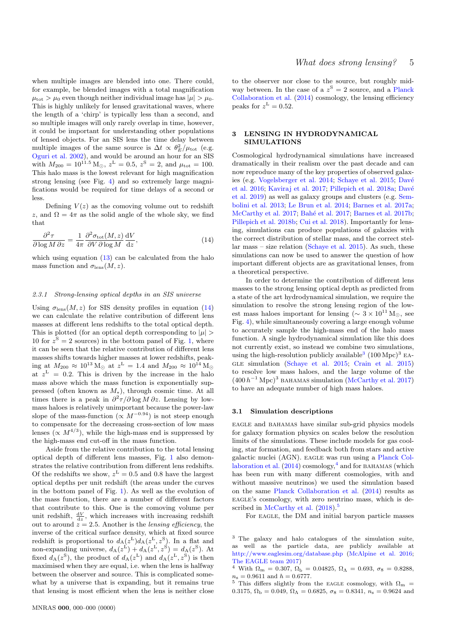when multiple images are blended into one. There could, for example, be blended images with a total magnification  $\mu_{\text{tot}} > \mu_0$  even though neither individual image has  $|\mu| > \mu_0$ . This is highly unlikely for lensed gravitational waves, where the length of a 'chirp' is typically less than a second, and so multiple images will only rarely overlap in time, however, it could be important for understanding other populations of lensed objects. For an SIS lens the time delay between multiple images of the same source is  $\Delta t \propto \theta_E^2 / \mu_{\text{tot}}$  (e.g. [Oguri et al.](#page-13-23) [2002\)](#page-13-23), and would be around an hour for an SIS with  $M_{200} = 10^{11.5}$   $M_{\odot}$ ,  $z^L = 0.5$ ,  $z^S = 2$ , and  $\mu_{\text{tot}} = 100$ . This halo mass is the lowest relevant for high magnification strong lensing (see Fig. [4\)](#page-8-0) and so extremely large magnifications would be required for time delays of a second or less.

<span id="page-4-1"></span>Defining  $V(z)$  as the comoving volume out to redshift z, and  $\Omega = 4\pi$  as the solid angle of the whole sky, we find that

$$
\frac{\partial^2 \tau}{\partial \log M \, \partial z} = \frac{1}{4\pi} \frac{\partial^2 \sigma_{\text{tot}}(M, z)}{\partial V \, \partial \log M} \frac{\mathrm{d}V}{\mathrm{d}z},\tag{14}
$$

which using equation  $(13)$  can be calculated from the halo mass function and  $\sigma_{\rm lens}(M, z)$ .

## 2.3.1 Strong-lensing optical depths in an SIS universe

Using  $\sigma_{\rm lens}(M, z)$  for SIS density profiles in equation [\(14\)](#page-4-1) we can calculate the relative contribution of different lens masses at different lens redshifts to the total optical depth. This is plotted (for an optical depth corresponding to  $|\mu|$ ) 10 for  $z^{\rm S} = 2$  sources) in the bottom panel of Fig. [1,](#page-3-0) where it can be seen that the relative contribution of different lens masses shifts towards higher masses at lower redshifts, peaking at  $M_{200} \approx 10^{13} \,\mathrm{M}_{\odot}$  at  $z^{\text{L}} = 1.4$  and  $M_{200} \approx 10^{14} \,\mathrm{M}_{\odot}$ at  $z^L = 0.2$ . This is driven by the increase in the halo mass above which the mass function is exponentially suppressed (often known as  $M_*$ ), through cosmic time. At all times there is a peak in  $\frac{\partial^2 \tau}{\partial \log M} \frac{\partial z}{\partial z}$ . Lensing by lowmass haloes is relatively unimportant because the power-law slope of the mass-function ( $\propto M^{-0.94}$ ) is not steep enough to compensate for the decreasing cross-section of low mass lenses ( $\propto M^{4/3}$ ), while the high-mass end is suppressed by the high-mass end cut-off in the mass function.

Aside from the relative contribution to the total lensing optical depth of different lens masses, Fig. [1](#page-3-0) also demonstrates the relative contribution from different lens redshifts. Of the redshifts we show,  $z^L = 0.5$  and 0.8 have the largest optical depths per unit redshift (the areas under the curves in the bottom panel of Fig. [1\)](#page-3-0). As well as the evolution of the mass function, there are a number of different factors that contribute to this. One is the comoving volume per unit redshift,  $\frac{dV}{dz}$ , which increases with increasing redshift out to around  $z = 2.5$ . Another is the *lensing efficiency*, the inverse of the critical surface density, which at fixed source redshift is proportional to  $d_A(z^L) d_A(z^L, z^S)$ . In a flat and non-expanding universe,  $d_A(z^L) + d_A(z^L, z^S) = d_A(z^S)$ . At fixed  $d_A(z^S)$ , the product of  $d_A(z^L)$  and  $d_A(z^L, z^S)$  is then maximised when they are equal, i.e. when the lens is halfway between the observer and source. This is complicated somewhat by a universe that is expanding, but it remains true that lensing is most efficient when the lens is neither close

to the observer nor close to the source, but roughly midway between. In the case of a  $z^{S} = 2$  source, and a [Planck](#page-14-8) [Collaboration et al.](#page-14-8) [\(2014\)](#page-14-8) cosmology, the lensing efficiency peaks for  $z^{\text{L}} = 0.52$ .

#### <span id="page-4-0"></span>3 LENSING IN HYDRODYNAMICAL SIMULATIONS

Cosmological hydrodynamical simulations have increased dramatically in their realism over the past decade and can now reproduce many of the key properties of observed galax-ies (e.g. [Vogelsberger et al.](#page-14-13) [2014;](#page-14-13) [Schaye et al.](#page-14-14) [2015;](#page-14-14) Davé [et al.](#page-13-24) [2016;](#page-13-24) [Kaviraj et al.](#page-13-25) [2017;](#page-13-25) [Pillepich et al.](#page-13-26) [2018a;](#page-13-26) Davé [et al.](#page-13-27) [2019\)](#page-13-27) as well as galaxy groups and clusters (e.g. [Sem](#page-14-15)[bolini et al.](#page-14-15) [2013;](#page-14-15) [Le Brun et al.](#page-13-28) [2014;](#page-13-28) [Barnes et al.](#page-13-29) [2017a;](#page-13-29) [McCarthy et al.](#page-13-30) [2017;](#page-13-31) Bahé et al. 2017; [Barnes et al.](#page-13-32) [2017b;](#page-13-32) [Pillepich et al.](#page-14-16) [2018b;](#page-14-16) [Cui et al.](#page-13-33) [2018\)](#page-13-33). Importantly for lensing, simulations can produce populations of galaxies with the correct distribution of stellar mass, and the correct stellar mass – size relation [\(Schaye et al.](#page-14-14) [2015\)](#page-14-14). As such, these simulations can now be used to answer the question of how important different objects are as gravitational lenses, from a theoretical perspective.

In order to determine the contribution of different lens masses to the strong lensing optical depth as predicted from a state of the art hydrodynamical simulation, we require the simulation to resolve the strong lensing region of the lowest mass haloes important for lensing ( $\sim 3 \times 10^{11}$  M<sub>o</sub>, see Fig. [4\)](#page-8-0), while simultaneously covering a large enough volume to accurately sample the high-mass end of the halo mass function. A single hydrodynamical simulation like this does not currently exist, so instead we combine two simulations, using the high-resolution publicly available<sup>[3](#page-4-2)</sup>  $(100 \text{ Mpc})^3$  EAgle simulation [\(Schaye et al.](#page-14-14) [2015;](#page-14-14) [Crain et al.](#page-13-34) [2015\)](#page-13-34) to resolve low mass haloes, and the large volume of the  $(400 h^{-1}$  Mpc $)^3$  ванамаs simulation [\(McCarthy et al.](#page-13-30) [2017\)](#page-13-30) to have an adequate number of high mass haloes.

#### 3.1 Simulation descriptions

EAGLE and BAHAMAS have similar sub-grid physics models for galaxy formation physics on scales below the resolution limits of the simulations. These include models for gas cooling, star formation, and feedback both from stars and active galactic nuclei (AGN). EAGLE was run using a [Planck Col](#page-14-8)[laboration et al.](#page-14-8)  $(2014)$  cosmology,<sup>[4](#page-4-3)</sup> and for BAHAMAS (which has been run with many different cosmologies, with and without massive neutrinos) we used the simulation based on the same [Planck Collaboration et al.](#page-14-8) [\(2014\)](#page-14-8) results as EAGLE's cosmology, with zero neutrino mass, which is de-scribed in [McCarthy et al.](#page-13-35)  $(2018)^5$  $(2018)^5$  $(2018)^5$ 

For EAGLE, the DM and initial baryon particle masses

<span id="page-4-2"></span><sup>3</sup> The galaxy and halo catalogues of the simulation suite, as well as the particle data, are publicly available at <http://www.eaglesim.org/database.php> [\(McAlpine et al.](#page-13-36) [2016;](#page-13-36) [The EAGLE team](#page-14-17) [2017\)](#page-14-17)

<span id="page-4-3"></span><sup>&</sup>lt;sup>4</sup> With  $\Omega_{\rm m} = 0.307, \, \Omega_{\rm b} = 0.04825, \, \Omega_{\Lambda} = 0.693, \, \sigma_8 = 0.8288,$  $n_{\mathrm{s}}=0.9611$  and  $h=0.6777.$ 

<span id="page-4-4"></span> $^5$  This differs slightly from the EAGLE cosmology, with  $\Omega_{\rm m}$  = 0.3175,  $\Omega_{\rm b} = 0.049$ ,  $\Omega_{\Lambda} = 0.6825$ ,  $\sigma_8 = 0.8341$ ,  $n_s = 0.9624$  and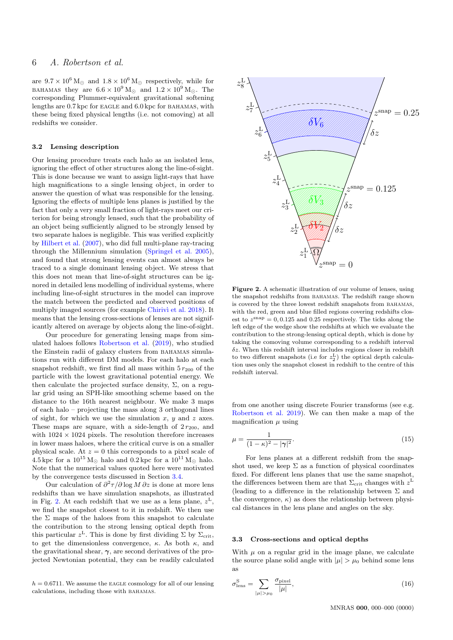are  $9.7 \times 10^6$  M<sub>\o</sub> and  $1.8 \times 10^6$  M<sub>\o</sub> respectively, while for BAHAMAS they are  $6.6 \times 10^9$  M<sub>o</sub> and  $1.2 \times 10^9$  M<sub>o</sub>. The corresponding Plummer-equivalent gravitational softening lengths are  $0.7$  kpc for EAGLE and  $6.0$  kpc for BAHAMAS, with these being fixed physical lengths (i.e. not comoving) at all redshifts we consider.

#### 3.2 Lensing description

Our lensing procedure treats each halo as an isolated lens, ignoring the effect of other structures along the line-of-sight. This is done because we want to assign light-rays that have high magnifications to a single lensing object, in order to answer the question of what was responsible for the lensing. Ignoring the effects of multiple lens planes is justified by the fact that only a very small fraction of light-rays meet our criterion for being strongly lensed, such that the probability of an object being sufficiently aligned to be strongly lensed by two separate haloes is negligible. This was verified explicitly by [Hilbert et al.](#page-13-22) [\(2007\)](#page-13-22), who did full multi-plane ray-tracing through the Millennium simulation [\(Springel et al.](#page-14-18) [2005\)](#page-14-18), and found that strong lensing events can almost always be traced to a single dominant lensing object. We stress that this does not mean that line-of-sight structures can be ignored in detailed lens modelling of individual systems, where including line-of-sight structures in the model can improve the match between the predicted and observed positions of multiply imaged sources (for example Chirivì et al. [2018\)](#page-13-37). It means that the lensing cross-sections of lenses are not significantly altered on average by objects along the line-of-sight.

Our procedure for generating lensing maps from simulated haloes follows [Robertson et al.](#page-14-19) [\(2019\)](#page-14-19), who studied the Einstein radii of galaxy clusters from bahamas simulations run with different DM models. For each halo at each snapshot redshift, we first find all mass within  $5 r_{200}$  of the particle with the lowest gravitational potential energy. We then calculate the projected surface density,  $\Sigma$ , on a regular grid using an SPH-like smoothing scheme based on the distance to the 16th nearest neighbour. We make 3 maps of each halo – projecting the mass along 3 orthogonal lines of sight, for which we use the simulation  $x, y$  and  $z$  axes. These maps are square, with a side-length of  $2r_{200}$ , and with  $1024 \times 1024$  pixels. The resolution therefore increases in lower mass haloes, where the critical curve is on a smaller physical scale. At  $z = 0$  this corresponds to a pixel scale of 4.5 kpc for a  $10^{15}$  M<sub> $\odot$ </sub> halo and 0.2 kpc for a  $10^{11}$  M<sub> $\odot$ </sub> halo. Note that the numerical values quoted here were motivated by the convergence tests discussed in Section [3.4.](#page-6-1)

Our calculation of  $\partial^2 \tau / \partial \log M \partial z$  is done at more lens redshifts than we have simulation snapshots, as illustrated in Fig. [2.](#page-5-0) At each redshift that we use as a lens plane,  $z^L$ , we find the snapshot closest to it in redshift. We then use the  $\Sigma$  maps of the haloes from this snapshot to calculate the contribution to the strong lensing optical depth from this particular  $z^{\text{L}}$ . This is done by first dividing  $\Sigma$  by  $\Sigma_{\text{crit}}$ , to get the dimensionless convergence,  $\kappa$ . As both  $\kappa$ , and the gravitational shear,  $\gamma$ , are second derivatives of the projected Newtonian potential, they can be readily calculated





<span id="page-5-0"></span>Figure 2. A schematic illustration of our volume of lenses, using the snapshot redshifts from bahamas. The redshift range shown is covered by the three lowest redshift snapshots from bahamas, with the red, green and blue filled regions covering redshifts closest to  $z^{\text{snap}} = 0, 0.125$  and 0.25 respectively. The ticks along the left edge of the wedge show the redshifts at which we evaluate the contribution to the strong-lensing optical depth, which is done by taking the comoving volume corresponding to a redshift interval  $\delta z$ . When this redshift interval includes regions closer in redshift to two different snapshots (i.e for  $z_2^L$ ) the optical depth calculation uses only the snapshot closest in redshift to the centre of this redshift interval.

from one another using discrete Fourier transforms (see e.g. [Robertson et al.](#page-14-19) [2019\)](#page-14-19). We can then make a map of the magnification  $\mu$  using

$$
\mu = \frac{1}{(1 - \kappa)^2 - |\gamma|^2}.
$$
\n(15)

For lens planes at a different redshift from the snapshot used, we keep  $\Sigma$  as a function of physical coordinates fixed. For different lens planes that use the same snapshot, the differences between them are that  $\Sigma_{\text{crit}}$  changes with  $z^{\text{L}}$ (leading to a difference in the relationship between  $\Sigma$  and the convergence,  $\kappa$ ) as does the relationship between physical distances in the lens plane and angles on the sky.

#### 3.3 Cross-sections and optical depths

With  $\mu$  on a regular grid in the image plane, we calculate the source plane solid angle with  $|\mu| > \mu_0$  behind some lens as

$$
\sigma_{\rm lens}^{\rm S} = \sum_{|\mu| > \mu_0} \frac{\sigma_{\rm pixel}}{|\mu|},\tag{16}
$$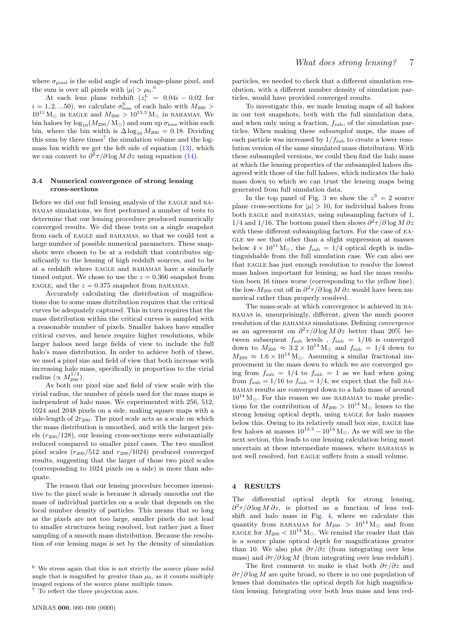where  $\sigma_{pixel}$  is the solid angle of each image-plane pixel, and the sum is over all pixels with  $|\mu| > \mu_0$ .<sup>[6](#page-6-2)</sup>

At each lens plane redshift  $(z_i^L = 0.04i - 0.02$  for  $i = 1, 2, \dots, 50$ , we calculate  $\sigma_{\text{lens}}^{\text{S}}$  of each halo with  $M_{200} >$  $10^{11}$  M<sub> $\odot$ </sub> in EAGLE and  $M_{200} > 10^{13.5}$  M<sub> $\odot$ </sub> in BAHAMAS. We bin haloes by  $\log_{10}(M_{200}/\rm{M}_{\odot})$  and sum up  $\sigma_{\rm lens}$  within each bin, where the bin width is  $\Delta \log_{10} M_{200} = 0.18$ . Dividing this sum by three times<sup>[7](#page-6-3)</sup> the simulation volume and the logmass bin width we get the left side of equation [\(13\)](#page-3-3), which we can convert to  $\partial^2 \tau / \partial \log M \partial z$  using equation [\(14\)](#page-4-1).

## <span id="page-6-1"></span>3.4 Numerical convergence of strong lensing cross-sections

Before we did our full lensing analysis of the EAGLE and BAhamas simulations, we first performed a number of tests to determine that our lensing procedure produced numerically converged results. We did these tests on a single snapshot from each of EAGLE and BAHAMAS, so that we could test a large number of possible numerical parameters. These snapshots were chosen to be at a redshift that contributes significantly to the lensing of high redshift sources, and to be at a redshift where EAGLE and BAHAMAS have a similarly timed output. We chose to use the  $z = 0.366$  snapshot from EAGLE, and the  $z = 0.375$  snapshot from BAHAMAS.

Accurately calculating the distribution of magnifications due to some mass distribution requires that the critical curves be adequately captured. This in turn requires that the mass distribution within the critical curves is sampled with a reasonable number of pixels. Smaller haloes have smaller critical curves, and hence require higher resolutions, while larger haloes need large fields of view to include the full halo's mass distribution. In order to achieve both of these, we used a pixel size and field of view that both increase with increasing halo mass, specifically in proportion to the virial radius ( $\propto M_{200}^{1/3}$ ).

As both our pixel size and field of view scale with the virial radius, the number of pixels used for the mass maps is independent of halo mass. We experimented with 256, 512, 1024 and 2048 pixels on a side, making square maps with a side-length of  $2r_{200}$ . The pixel scale acts as a scale on which the mass distribution is smoothed, and with the largest pixels  $(r_{200}/128)$ , our lensing cross-sections were substantially reduced compared to smaller pixel cases. The two smallest pixel scales  $(r_{200}/512$  and  $r_{200}/1024)$  produced converged results, suggesting that the larger of those two pixel scales (corresponding to 1024 pixels on a side) is more than adequate.

The reason that our lensing procedure becomes insensitive to the pixel scale is because it already smooths out the mass of individual particles on a scale that depends on the local number density of particles. This means that so long as the pixels are not too large, smaller pixels do not lead to smaller structures being resolved, but rather just a finer sampling of a smooth mass distribution. Because the resolution of our lensing maps is set by the density of simulation

<span id="page-6-3"></span><sup>7</sup> To reflect the three projection axes.

particles, we needed to check that a different simulation resolution, with a different number density of simulation particles, would have provided converged results.

To investigate this, we made lensing maps of all haloes in our test snapshots, both with the full simulation data, and when only using a fraction,  $f_{\text{sub}}$ , of the simulation particles. When making these subsampled maps, the mass of each particle was increased by  $1/f_{\text{sub}}$  to create a lower resolution version of the same simulated mass distribution. With these subsampled versions, we could then find the halo mass at which the lensing properties of the subsampled haloes disagreed with those of the full haloes, which indicates the halo mass down to which we can trust the lensing maps being generated from full simulation data.

In the top panel of Fig. [3](#page-7-0) we show the  $z^{S} = 2$  source plane cross-sections for  $|\mu| > 10$ , for individual haloes from both EAGLE and BAHAMAS, using subsampling factors of 1, 1/4 and 1/16. The bottom panel then shows  $\partial^2 \tau / \partial \log M \partial z$ with these different subsampling factors. For the case of eagle we see that other than a slight suppression at masses below  $4 \times 10^{11}$  M<sub>o</sub>, the  $f_{\text{sub}} = 1/4$  optical depth is indistinguishable from the full simulation case. We can also see that EAGLE has just enough resolution to resolve the lowest mass haloes important for lensing, as had the mass resolution been 16 times worse (corresponding to the yellow line), the low- $M_{200}$  cut off in  $\partial^2 \tau / \partial \log M \partial z$  would have been numerical rather than properly resolved.

The mass-scale at which convergence is achieved in bahamas is, unsurprisingly, different, given the much poorer resolution of the bahamas simulations. Defining convergence as an agreement on  $\frac{\partial^2 \tau}{\partial \log M} \frac{\partial z}{\partial z}$  better than 20% between subsequent  $f_{\text{sub}}$  levels,  $f_{\text{sub}} = 1/16$  is converged down to  $M_{200} \approx 3.2 \times 10^{14}$  M<sub>O</sub> and  $f_{\text{sub}} = 1/4$  down to  $M_{200} \approx 1.6 \times 10^{14}$  M<sub>o</sub>. Assuming a similar fractional improvement in the mass down to which we are converged going from  $f_{\text{sub}} = 1/4$  to  $f_{\text{sub}} = 1$  as we had when going from  $f_{\text{sub}} = 1/16$  to  $f_{\text{sub}} = 1/4$ , we expect that the full BAhamas results are converged down to a halo mass of around  $10^{14}$  M<sub> $\odot$ </sub>. For this reason we use BAHAMAS to make predictions for the contribution of  $M_{200} > 10^{14}$  M<sub>o</sub> lenses to the strong lensing optical depth, using EAGLE for halo masses below this. Owing to its relatively small box size, EAGLE has few haloes at masses  $10^{13.5} - 10^{14}$  M<sub>o</sub>. As we will see in the next section, this leads to our lensing calculation being most uncertain at these intermediate masses, where bahamas is not well resolved, but EAGLE suffers from a small volume.

#### <span id="page-6-0"></span>4 RESULTS

The differential optical depth for strong lensing,  $\frac{\partial^2 \tau}{\partial \log M} \frac{\partial z}{\partial z}$ , is plotted as a function of lens redshift and halo mass in Fig. [4,](#page-8-0) where we calculate this quantity from BAHAMAS for  $M_{200} > 10^{14}$  M<sub>o</sub> and from EAGLE for  $M_{200} < 10^{14}$  M<sub>o</sub>. We remind the reader that this is a source plane optical depth for magnifications greater than 10. We also plot  $\partial \tau / \partial z$  (from integrating over lens mass) and  $\partial \tau / \partial \log M$  (from integrating over lens redshift).

The first comment to make is that both  $\partial \tau / \partial z$  and  $\partial \tau / \partial \log M$  are quite broad, so there is no one population of lenses that dominates the optical depth for high magnification lensing. Integrating over both lens mass and lens red-

<span id="page-6-2"></span><sup>6</sup> We stress again that this is not strictly the source plane solid angle that is magnified by greater than  $\mu_0$ , as it counts multiply imaged regions of the source plane multiple times.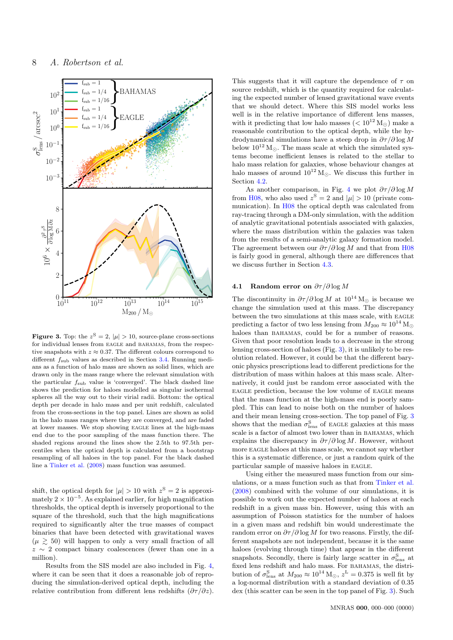

<span id="page-7-0"></span>**Figure 3.** Top: the  $z^{S} = 2$ ,  $|\mu| > 10$ , source-plane cross-sections for individual lenses from EAGLE and BAHAMAS, from the respective snapshots with  $z \approx 0.37$ . The different colours correspond to different  $f_{\text{sub}}$  values as described in Section [3.4.](#page-6-1) Running medians as a function of halo mass are shown as solid lines, which are drawn only in the mass range where the relevant simulation with the particular  $f_{sub}$  value is 'converged'. The black dashed line shows the prediction for haloes modelled as singular isothermal spheres all the way out to their virial radii. Bottom: the optical depth per decade in halo mass and per unit redshift, calculated from the cross-sections in the top panel. Lines are shown as solid in the halo mass ranges where they are converged, and are faded at lower masses. We stop showing eagle lines at the high-mass end due to the poor sampling of the mass function there. The shaded regions around the lines show the 2.5th to 97.5th percentiles when the optical depth is calculated from a bootstrap resampling of all haloes in the top panel. For the black dashed line a [Tinker et al.](#page-14-11) [\(2008\)](#page-14-11) mass function was assumed.

shift, the optical depth for  $|\mu| > 10$  with  $z^{S} = 2$  is approximately  $2 \times 10^{-5}$ . As explained earlier, for high magnification thresholds, the optical depth is inversely proportional to the square of the threshold, such that the high magnifications required to significantly alter the true masses of compact binaries that have been detected with gravitational waves  $(\mu \geq 50)$  will happen to only a very small fraction of all  $z \sim 2$  compact binary coalescences (fewer than one in a million).

Results from the SIS model are also included in Fig. [4,](#page-8-0) where it can be seen that it does a reasonable job of reproducing the simulation-derived optical depth, including the relative contribution from different lens redshifts  $(\partial \tau / \partial z)$ .

This suggests that it will capture the dependence of  $\tau$  on source redshift, which is the quantity required for calculating the expected number of lensed gravitational wave events that we should detect. Where this SIS model works less well is in the relative importance of different lens masses, with it predicting that low halo masses ( $< 10^{12}$  M<sub>o</sub>) make a reasonable contribution to the optical depth, while the hydrodynamical simulations have a steep drop in  $\partial \tau / \partial \log M$ below  $10^{12}$  M<sub>o</sub>. The mass scale at which the simulated systems become inefficient lenses is related to the stellar to halo mass relation for galaxies, whose behaviour changes at halo masses of around  $10^{12}$  M<sub> $\odot$ </sub>. We discuss this further in Section [4.2.](#page-9-0)

As another comparison, in Fig. [4](#page-8-0) we plot  $\partial \tau / \partial \log M$ from [H08,](#page-13-10) who also used  $z^{S} = 2$  and  $|\mu| > 10$  (private communication). In [H08](#page-13-10) the optical depth was calculated from ray-tracing through a DM-only simulation, with the addition of analytic gravitational potentials associated with galaxies, where the mass distribution within the galaxies was taken from the results of a semi-analytic galaxy formation model. The agreement between our  $\partial \tau / \partial \log M$  and that from [H08](#page-13-10) is fairly good in general, although there are differences that we discuss further in Section [4.3.](#page-9-1)

## 4.1 Random error on  $\partial \tau / \partial \log M$

The discontinuity in  $\partial \tau / \partial \log M$  at  $10^{14}$  M<sub>☉</sub> is because we change the simulation used at this mass. The discrepancy between the two simulations at this mass scale, with EAGLE predicting a factor of two less lensing from  $M_{200} \approx 10^{14} \,\mathrm{M_{\odot}}$ haloes than BAHAMAS, could be for a number of reasons. Given that poor resolution leads to a decrease in the strong lensing cross-section of haloes (Fig. [3\)](#page-7-0), it is unlikely to be resolution related. However, it could be that the different baryonic physics prescriptions lead to different predictions for the distribution of mass within haloes at this mass scale. Alternatively, it could just be random error associated with the EAGLE prediction, because the low volume of EAGLE means that the mass function at the high-mass end is poorly sampled. This can lead to noise both on the number of haloes and their mean lensing cross-section. The top panel of Fig. [3](#page-7-0) shows that the median  $\sigma_{\rm lens}^{\rm S}$  of EAGLE galaxies at this mass scale is a factor of almost two lower than in BAHAMAS, which explains the discrepancy in  $\partial \tau / \partial \log M$ . However, without more EAGLE haloes at this mass scale, we cannot say whether this is a systematic difference, or just a random quirk of the particular sample of massive haloes in EAGLE.

Using either the measured mass function from our simulations, or a mass function such as that from [Tinker et al.](#page-14-11) [\(2008\)](#page-14-11) combined with the volume of our simulations, it is possible to work out the expected number of haloes at each redshift in a given mass bin. However, using this with an assumption of Poisson statistics for the number of haloes in a given mass and redshift bin would underestimate the random error on  $\partial \tau / \partial \log M$  for two reasons. Firstly, the different snapshots are not independent, because it is the same haloes (evolving through time) that appear in the different snapshots. Secondly, there is fairly large scatter in  $\sigma_{\rm lens}^{\rm S}$  at fixed lens redshift and halo mass. For BAHAMAS, the distribution of  $\sigma_{\rm lens}^{\rm S}$  at  $M_{200} \approx 10^{14}$  M<sub>O</sub>,  $z^{\rm L} = 0.375$  is well fit by a log-normal distribution with a standard deviation of 0.35 dex (this scatter can be seen in the top panel of Fig. [3\)](#page-7-0). Such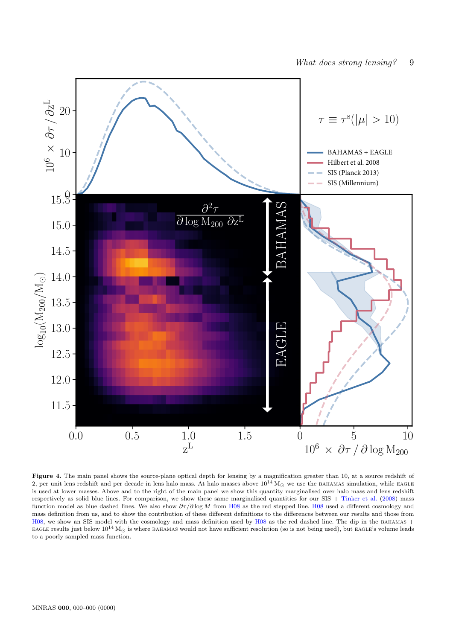

<span id="page-8-0"></span>Figure 4. The main panel shows the source-plane optical depth for lensing by a magnification greater than 10, at a source redshift of 2, per unit lens redshift and per decade in lens halo mass. At halo masses above  $10^{14}$  M<sub> $\odot$ </sub> we use the BAHAMAS simulation, while EAGLE is used at lower masses. Above and to the right of the main panel we show this quantity marginalised over halo mass and lens redshift respectively as solid blue lines. For comparison, we show these same marginalised quantities for our  $SIS + Tinker$  et al. [\(2008\)](#page-14-11) mass function model as blue dashed lines. We also show  $\partial \tau / \partial \log M$  from [H08](#page-13-10) as the red stepped line. H08 used a different cosmology and mass definition from us, and to show the contribution of these different definitions to the differences between our results and those from [H08,](#page-13-10) we show an SIS model with the cosmology and mass definition used by [H08](#page-13-10) as the red dashed line. The dip in the BAHAMAS + EAGLE results just below  $10^{14}$  M<sub>o</sub> is where BAHAMAS would not have sufficient resolution (so is not being used), but EAGLE's volume leads to a poorly sampled mass function.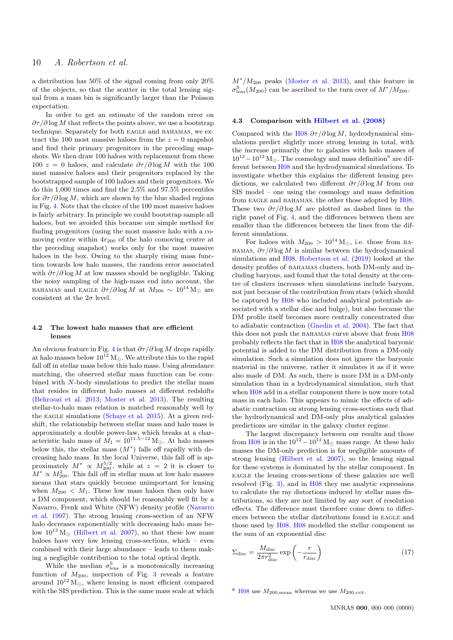a distribution has 50% of the signal coming from only 20% of the objects, so that the scatter in the total lensing signal from a mass bin is significantly larger than the Poisson expectation.

In order to get an estimate of the random error on  $\partial \tau / \partial \log M$  that reflects the points above, we use a bootstrap technique. Separately for both EAGLE and BAHAMAS, we extract the 100 most massive haloes from the  $z = 0$  snapshot and find their primary progenitors in the preceding snapshots. We then draw 100 haloes with replacement from these 100  $z = 0$  haloes, and calculate  $\partial \tau / \partial \log M$  with the 100 most massive haloes and their progenitors replaced by the bootstrapped sample of 100 haloes and their progenitors. We do this 1,000 times and find the 2.5% and 97.5% percentiles for  $\partial \tau / \partial \log M$ , which are shown by the blue shaded regions in Fig. [4.](#page-8-0) Note that the choice of the 100 most massive haloes is fairly arbitrary. In principle we could bootstrap sample all haloes, but we avoided this because our simple method for finding progenitors (using the most massive halo with a comoving centre within  $4r_{200}$  of the halo comoving centre at the preceding snapshot) works only for the most massive haloes in the box. Owing to the sharply rising mass function towards low halo masses, the random error associated with  $\partial \tau / \partial \log M$  at low masses should be negligible. Taking the noisy sampling of the high-mass end into account, the BAHAMAS and EAGLE  $\partial \tau / \partial \log M$  at  $M_{200} \sim 10^{14}$  M<sub>⊙</sub> are consistent at the  $2\sigma$  level.

## <span id="page-9-0"></span>4.2 The lowest halo masses that are efficient lenses

An obvious feature in Fig. [4](#page-8-0) is that  $\partial \tau / \partial \log M$  drops rapidly at halo masses below  $10^{12}$  M<sub>O</sub>. We attribute this to the rapid fall off in stellar mass below this halo mass. Using abundance matching, the observed stellar mass function can be combined with N-body simulations to predict the stellar mass that resides in different halo masses at different redshifts [\(Behroozi et al.](#page-13-38) [2013;](#page-13-38) [Moster et al.](#page-13-39) [2013\)](#page-13-39). The resulting stellar-to-halo mass relation is matched reasonably well by the EAGLE simulations [\(Schaye et al.](#page-14-14) [2015\)](#page-14-14). At a given redshift, the relationship between stellar mass and halo mass is approximately a double power-law, which breaks at a characteristic halo mass of  $M_1 = 10^{11.5-12}$  M<sub>O</sub>. At halo masses below this, the stellar mass  $(M^*)$  falls off rapidly with decreasing halo mass. In the local Universe, this fall off is approximately  $M^* \propto M_{200}^{5/2}$ , while at  $z = 2$  it is closer to  $M^* \propto M_{200}^2$ . This fall off in stellar mass at low halo masses means that stars quickly become unimportant for lensing when  $M_{200} < M_1$ . These low mass haloes then only have a DM component, which should be reasonably well fit by a Navarro, Frenk and White (NFW) density profile [\(Navarro](#page-13-40) [et al.](#page-13-40) [1997\)](#page-13-40). The strong lensing cross-section of an NFW halo decreases exponentially with decreasing halo mass below  $10^{13}$  M<sub> $\odot$ </sub> [\(Hilbert et al.](#page-13-22) [2007\)](#page-13-22), so that these low mass haloes have very low lensing cross-sections, which – even combined with their large abundance – leads to them making a negligible contribution to the total optical depth.

While the median  $\sigma_{\text{lens}}^{\text{S}}$  is a monotonically increasing function of  $M_{200}$ , inspection of Fig. [3](#page-7-0) reveals a feature around  $10^{12}$  M<sub>o</sub>, where lensing is most efficient compared with the SIS prediction. This is the same mass scale at which

 $M^*/M_{200}$  peaks [\(Moster et al.](#page-13-39) [2013\)](#page-13-39), and this feature in  $\sigma_{\text{lens}}^{\text{S}}(M_{200})$  can be ascribed to the turn over of  $M^*/M_{200}$ .

#### <span id="page-9-1"></span>4.3 Comparison with [Hilbert et al.](#page-13-10) [\(2008\)](#page-13-10)

Compared with the [H08](#page-13-10)  $\partial \tau / \partial \log M$ , hydrodynamical simulations predict slightly more strong lensing in total, with the increase primarily due to galaxies with halo masses of  $10^{12} - 10^{13}$  M<sub>o</sub>. The cosmology and mass definition<sup>[8](#page-9-2)</sup> are different between [H08](#page-13-10) and the hydrodynamical simulations. To investigate whether this explains the different lensing predictions, we calculated two different  $\partial \tau / \partial \log M$  from our SIS model – one using the cosmology and mass definition from EAGLE and BAHAMAS, the other those adopted by [H08.](#page-13-10) These two  $\partial \tau / \partial \log M$  are plotted as dashed lines in the right panel of Fig. [4,](#page-8-0) and the differences between them are smaller than the differences between the lines from the different simulations.

For haloes with  $M_{200} > 10^{14}$  M<sub>o</sub>, i.e. those from BA-HAMAS,  $\partial \tau / \partial \log M$  is similar between the hydrodynamical simulations and [H08.](#page-13-10) [Robertson et al.](#page-14-19) [\(2019\)](#page-14-19) looked at the density profiles of bahamas clusters, both DM-only and including baryons, and found that the total density at the centre of clusters increases when simulations include baryons, not just because of the contribution from stars (which should be captured by [H08](#page-13-10) who included analytical potentials associated with a stellar disc and bulge), but also because the DM profile itself becomes more centrally concentrated due to adiabatic contraction [\(Gnedin et al.](#page-13-41) [2004\)](#page-13-41). The fact that this does not push the BAHAMAS curve above that from  $H08$ probably reflects the fact that in [H08](#page-13-10) the analytical baryonic potential is added to the DM distribution from a DM-only simulation. Such a simulation does not ignore the baryonic material in the universe, rather it simulates it as if it were also made of DM. As such, there is more DM in a DM-only simulation than in a hydrodynamical simulation, such that when [H08](#page-13-10) add in a stellar component there is now more total mass in each halo. This appears to mimic the effects of adiabatic contraction on strong lensing cross-sections such that the hydrodynamical and DM-only plus analytical galaxies predictions are similar in the galaxy cluster regime.

The largest discrepancy between our results and those from [H08](#page-13-10) is in the  $10^{12} - 10^{13}$  M<sub>o</sub> mass range. At these halo masses the DM-only prediction is for negligible amounts of strong lensing [\(Hilbert et al.](#page-13-22) [2007\)](#page-13-22), so the lensing signal for these systems is dominated by the stellar component. In EAGLE the lensing cross-sections of these galaxies are well resolved (Fig. [3\)](#page-7-0), and in [H08](#page-13-10) they use analytic expressions to calculate the ray distortions induced by stellar mass distributions, so they are not limited by any sort of resolution effects. The difference must therefore come down to differences between the stellar distributions found in EAGLE and those used by [H08.](#page-13-10) [H08](#page-13-10) modelled the stellar component as the sum of an exponential disc

$$
\Sigma_{\rm disc} = \frac{M_{\rm disc}}{2\pi r_{\rm disc}^2} \exp\left(-\frac{r}{r_{\rm disc}}\right) \tag{17}
$$

<span id="page-9-2"></span><sup>8</sup> [H08](#page-13-10) use  $M_{200, \text{mean}}$  whereas we use  $M_{200, \text{crit}}$ .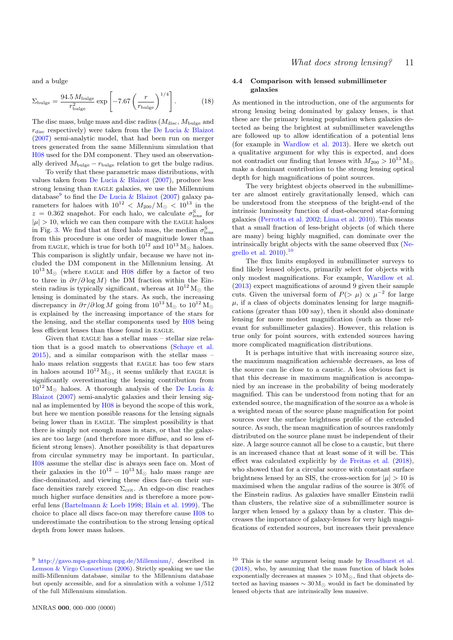and a bulge

$$
\Sigma_{\text{bulge}} = \frac{94.5 \, M_{\text{bulge}}}{r_{\text{bulge}}^2} \exp\left[-7.67 \left(\frac{r}{r_{\text{bulge}}}\right)^{1/4}\right].\tag{18}
$$

The disc mass, bulge mass and disc radius  $(M<sub>disc</sub>, M<sub>blue</sub>$  and  $r_{\text{disc}}$  respectively) were taken from the [De Lucia & Blaizot](#page-13-42) [\(2007\)](#page-13-42) semi-analytic model, that had been run on merger trees generated from the same Millennium simulation that [H08](#page-13-10) used for the DM component. They used an observationally derived  $M_{\text{bulge}} - r_{\text{bulge}}$  relation to get the bulge radius.

To verify that these parametric mass distributions, with values taken from [De Lucia & Blaizot](#page-13-42) [\(2007\)](#page-13-42), produce less strong lensing than eagle galaxies, we use the Millennium database<sup>[9](#page-10-0)</sup> to find the [De Lucia & Blaizot](#page-13-42) [\(2007\)](#page-13-42) galaxy parameters for haloes with  $10^{12} < M_{200}/M_{\odot} < 10^{13}$  in the  $z = 0.362$  snapshot. For each halo, we calculate  $\sigma_{\rm lens}^{\rm S}$  for  $|\mu| > 10$ , which we can then compare with the EAGLE haloes in Fig. [3.](#page-7-0) We find that at fixed halo mass, the median  $\sigma_{\rm lens}^{\rm S}$ from this procedure is one order of magnitude lower than from EAGLE, which is true for both  $10^{12}$  and  $10^{13}$  M<sub>o</sub> haloes. This comparison is slightly unfair, because we have not included the DM component in the Millennium lensing. At  $10^{13}$  M<sub>o</sub> (where EAGLE and [H08](#page-13-10) differ by a factor of two to three in  $\partial \tau / \partial \log M$ ) the DM fraction within the Einstein radius is typically significant, whereas at  $10^{12}$  M<sub> $\odot$ </sub> the lensing is dominated by the stars. As such, the increasing discrepancy in  $\partial \tau / \partial \log M$  going from  $10^{13}$  M<sub>o</sub> to  $10^{12}$  M<sub>o</sub> is explained by the increasing importance of the stars for the lensing, and the stellar components used by [H08](#page-13-10) being less efficient lenses than those found in EAGLE.

Given that EAGLE has a stellar mass – stellar size relation that is a good match to observations [\(Schaye et al.](#page-14-14) [2015\)](#page-14-14), and a similar comparison with the stellar mass – halo mass relation suggests that EAGLE has too few stars in haloes around  $10^{12} \text{ M}_{\odot}$ , it seems unlikely that EAGLE is significantly overestimating the lensing contribution from  $10^{12}$  M<sub>o</sub> haloes. A thorough analysis of the [De Lucia &](#page-13-42) [Blaizot](#page-13-42) [\(2007\)](#page-13-42) semi-analytic galaxies and their lensing signal as implemented by [H08](#page-13-10) is beyond the scope of this work, but here we mention possible reasons for the lensing signals being lower than in EAGLE. The simplest possibility is that there is simply not enough mass in stars, or that the galaxies are too large (and therefore more diffuse, and so less efficient strong lenses). Another possibility is that departures from circular symmetry may be important. In particular, [H08](#page-13-10) assume the stellar disc is always seen face on. Most of their galaxies in the  $10^{12} - 10^{13}$  M<sub>o</sub> halo mass range are disc-dominated, and viewing these discs face-on their surface densities rarely exceed  $\Sigma_{\rm crit}$ . An edge-on disc reaches much higher surface densities and is therefore a more powerful lens [\(Bartelmann & Loeb](#page-13-43) [1998;](#page-13-43) [Blain et al.](#page-13-44) [1999\)](#page-13-44). The choice to place all discs face-on may therefore cause [H08](#page-13-10) to underestimate the contribution to the strong lensing optical depth from lower mass haloes.

## 4.4 Comparison with lensed submillimeter galaxies

As mentioned in the introduction, one of the arguments for strong lensing being dominated by galaxy lenses, is that these are the primary lensing population when galaxies detected as being the brightest at submillimeter wavelengths are followed up to allow identification of a potential lens (for example in [Wardlow et al.](#page-14-5) [2013\)](#page-14-5). Here we sketch out a qualitative argument for why this is expected, and does not contradict our finding that lenses with  $M_{200} > 10^{13}$  M<sub>o</sub> make a dominant contribution to the strong lensing optical depth for high magnifications of point sources.

The very brightest objects observed in the submillimeter are almost entirely gravitationally lensed, which can be understood from the steepness of the bright-end of the intrinsic luminosity function of dust-obscured star-forming galaxies [\(Perrotta et al.](#page-13-46) [2002;](#page-13-46) [Lima et al.](#page-13-47) [2010\)](#page-13-47). This means that a small fraction of less-bright objects (of which there are many) being highly magnified, can dominate over the intrinsically bright objects with the same observed flux [\(Ne](#page-13-13)[grello et al.](#page-13-13) [2010\)](#page-13-13).<sup>[10](#page-10-1)</sup>

The flux limits employed in submillimeter surveys to find likely lensed objects, primarily select for objects with only modest magnifications. For example, [Wardlow et al.](#page-14-5) [\(2013\)](#page-14-5) expect magnifications of around 9 given their sample cuts. Given the universal form of  $P(>\mu) \propto \mu^{-2}$  for large  $\mu$ , if a class of objects dominates lensing for large magnifications (greater than 100 say), then it should also dominate lensing for more modest magnification (such as those relevant for submillimeter galaxies). However, this relation is true only for point sources, with extended sources having more complicated magnification distributions.

It is perhaps intuitive that with increasing source size, the maximum magnification achievable decreases, as less of the source can lie close to a caustic. A less obvious fact is that this decrease in maximum magnification is accompanied by an increase in the probability of being moderately magnified. This can be understood from noting that for an extended source, the magnification of the source as a whole is a weighted mean of the source plane magnification for point sources over the surface brightness profile of the extended source. As such, the mean magnification of sources randomly distributed on the source plane must be independent of their size. A large source cannot all be close to a caustic, but there is an increased chance that at least some of it will be. This effect was calculated explicitly by [de Freitas et al.](#page-14-20) [\(2018\)](#page-14-20), who showed that for a circular source with constant surface brightness lensed by an SIS, the cross-section for  $|\mu| > 10$  is maximised when the angular radius of the source is 30% of the Einstein radius. As galaxies have smaller Einstein radii than clusters, the relative size of a submillimeter source is larger when lensed by a galaxy than by a cluster. This decreases the importance of galaxy-lenses for very high magnifications of extended sources, but increases their prevalence

<span id="page-10-0"></span><sup>9</sup> [http://gavo.mpa-garching.mpg.de/Millennium/,](http://gavo.mpa-garching.mpg.de/Millennium/) described in [Lemson & Virgo Consortium](#page-13-45) [\(2006\)](#page-13-45). Strictly speaking we use the milli-Millennium database, similar to the Millennium database but openly accessible, and for a simulation with a volume 1/512 of the full Millennium simulation.

<span id="page-10-1"></span><sup>10</sup> This is the same argument being made by [Broadhurst et al.](#page-13-7) [\(2018\)](#page-13-7), who, by assuming that the mass function of black holes exponentially decreases at masses  $> 10 M_{\odot}$ , find that objects detected as having masses  $\sim 30 \,\mathrm{M}_{\odot}$  would in fact be dominated by lensed objects that are intrinsically less massive.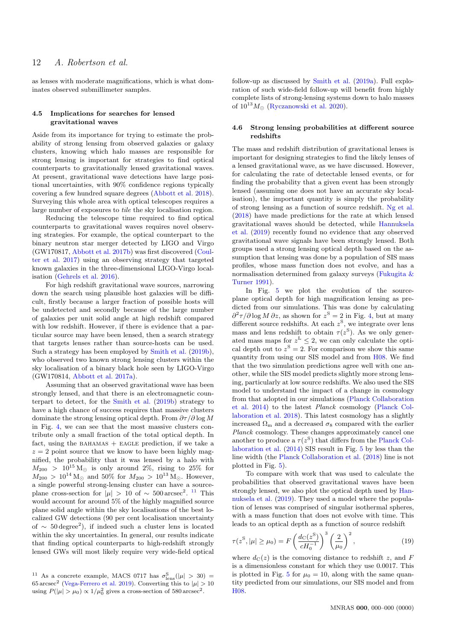as lenses with moderate magnifications, which is what dominates observed submillimeter samples.

### 4.5 Implications for searches for lensed gravitational waves

Aside from its importance for trying to estimate the probability of strong lensing from observed galaxies or galaxy clusters, knowing which halo masses are responsible for strong lensing is important for strategies to find optical counterparts to gravitationally lensed gravitational waves. At present, gravitational wave detections have large positional uncertainties, with 90% confidence regions typically covering a few hundred square degrees [\(Abbott et al.](#page-13-6) [2018\)](#page-13-6). Surveying this whole area with optical telescopes requires a large number of exposures to tile the sky localisation region.

Reducing the telescope time required to find optical counterparts to gravitational waves requires novel observing strategies. For example, the optical counterpart to the binary neutron star merger detected by LIGO and Virgo (GW170817, [Abbott et al.](#page-13-48) [2017b\)](#page-13-48) was first discovered [\(Coul](#page-13-49)[ter et al.](#page-13-49) [2017\)](#page-13-49) using an observing strategy that targeted known galaxies in the three-dimensional LIGO-Virgo localisation [\(Gehrels et al.](#page-13-50) [2016\)](#page-13-50).

For high redshift gravitational wave sources, narrowing down the search using plausible host galaxies will be difficult, firstly because a larger fraction of possible hosts will be undetected and secondly because of the large number of galaxies per unit solid angle at high redshift compared with low redshift. However, if there is evidence that a particular source may have been lensed, then a search strategy that targets lenses rather than source-hosts can be used. Such a strategy has been employed by [Smith et al.](#page-14-3) [\(2019b\)](#page-14-3), who observed two known strong lensing clusters within the sky localisation of a binary black hole seen by LIGO-Virgo (GW170814, [Abbott et al.](#page-13-51) [2017a\)](#page-13-51).

Assuming that an observed gravitational wave has been strongly lensed, and that there is an electromagnetic counterpart to detect, for the [Smith et al.](#page-14-3) [\(2019b\)](#page-14-3) strategy to have a high chance of success requires that massive clusters dominate the strong lensing optical depth. From  $\partial \tau / \partial \log M$ in Fig. [4,](#page-8-0) we can see that the most massive clusters contribute only a small fraction of the total optical depth. In fact, using the BAHAMAS  $+$  EAGLE prediction, if we take a  $z = 2$  point source that we know to have been highly magnified, the probability that it was lensed by a halo with  $M_{200}$  >  $10^{15}$  M<sub> $\odot$ </sub> is only around 2%, rising to 25% for  $M_{200} > 10^{14}$  M<sub>o</sub> and 50% for  $M_{200} > 10^{13}$  M<sub>o</sub>. However, a single powerful strong-lensing cluster can have a sourceplane cross-section for  $|\mu| > 10$  of ~ 500 arcsec<sup>2</sup>. <sup>[11](#page-11-0)</sup> This would account for around 5% of the highly magnified source plane solid angle within the sky localisations of the best localized GW detections (90 per cent localisation uncertainty of  $\sim$  50 degree<sup>2</sup>), if indeed such a cluster lens is located within the sky uncertainties. In general, our results indicate that finding optical counterparts to high-redshift strongly lensed GWs will most likely require very wide-field optical

<span id="page-11-0"></span><sup>11</sup> As a concrete example, MACS 0717 has  $\sigma_{\text{lens}}^{\text{S}}(|\mu| > 30)$  = 65 arcsec<sup>2</sup> [\(Vega-Ferrero et al.](#page-14-21) [2019\)](#page-14-21). Converting this to  $|\mu| > 10$ using  $P(|\mu| > \mu_0) \propto 1/\mu_0^2$  gives a cross-section of 580 arcsec<sup>2</sup>.

follow-up as discussed by [Smith et al.](#page-14-22) [\(2019a\)](#page-14-22). Full exploration of such wide-field follow-up will benefit from highly complete lists of strong-lensing systems down to halo masses of  $10^{13} M_{\odot}$  [\(Ryczanowski et al.](#page-14-23) [2020\)](#page-14-23).

## 4.6 Strong lensing probabilities at different source redshifts

The mass and redshift distribution of gravitational lenses is important for designing strategies to find the likely lenses of a lensed gravitational wave, as we have discussed. However, for calculating the rate of detectable lensed events, or for finding the probability that a given event has been strongly lensed (assuming one does not have an accurate sky localisation), the important quantity is simply the probability of strong lensing as a function of source redshift. [Ng et al.](#page-13-52) [\(2018\)](#page-13-52) have made predictions for the rate at which lensed gravitational waves should be detected, while [Hannuksela](#page-13-9) [et al.](#page-13-9) [\(2019\)](#page-13-9) recently found no evidence that any observed gravitational wave signals have been strongly lensed. Both groups used a strong lensing optical depth based on the assumption that lensing was done by a population of SIS mass profiles, whose mass function does not evolve, and has a normalisation determined from galaxy surveys [\(Fukugita &](#page-13-53) [Turner](#page-13-53) [1991\)](#page-13-53).

In Fig. [5](#page-12-1) we plot the evolution of the sourceplane optical depth for high magnification lensing as predicted from our simulations. This was done by calculating  $\frac{\partial^2 \tau}{\partial \log M} \frac{\partial z}{\partial x}$ , as shown for  $z^{\rm S} = 2$  in Fig. [4,](#page-8-0) but at many different source redshifts. At each  $z^{\rm S}$ , we integrate over lens mass and lens redshift to obtain  $\tau(z^{\rm S})$ . As we only generated mass maps for  $z^L \leq 2$ , we can only calculate the optical depth out to  $z^{S} = 2$ . For comparison we show this same quantity from using our SIS model and from [H08.](#page-13-10) We find that the two simulation predictions agree well with one another, while the SIS model predicts slightly more strong lensing, particularly at low source redshifts. We also used the SIS model to understand the impact of a change in cosmology from that adopted in our simulations [\(Planck Collaboration](#page-14-8) [et al.](#page-14-8) [2014\)](#page-14-8) to the latest Planck cosmology [\(Planck Col](#page-14-24)[laboration et al.](#page-14-24) [2018\)](#page-14-24). This latest cosmology has a slightly increased  $\Omega_{\rm m}$  and a decreased  $\sigma_8$  compared with the earlier Planck cosmology. These changes approximately cancel one another to produce a  $\tau(z^{\rm S})$  that differs from the [Planck Col](#page-14-8)[laboration et al.](#page-14-8) [\(2014\)](#page-14-8) SIS result in Fig. [5](#page-12-1) by less than the line width (the [Planck Collaboration et al.](#page-14-24) [\(2018\)](#page-14-24) line is not plotted in Fig. [5\)](#page-12-1).

To compare with work that was used to calculate the probabilities that observed gravitational waves have been strongly lensed, we also plot the optical depth used by [Han](#page-13-9)[nuksela et al.](#page-13-9) [\(2019\)](#page-13-9). They used a model where the population of lenses was comprised of singular isothermal spheres, with a mass function that does not evolve with time. This leads to an optical depth as a function of source redshift

$$
\tau(z^{\rm S}, |\mu| \ge \mu_0) = F\left(\frac{d_{\rm C}(z^{\rm S})}{cH_0^{-1}}\right)^3 \left(\frac{2}{\mu_0}\right)^2, \tag{19}
$$

where  $d_C(z)$  is the comoving distance to redshift z, and F is a dimensionless constant for which they use 0.0017. This is plotted in Fig. [5](#page-12-1) for  $\mu_0 = 10$ , along with the same quantity predicted from our simulations, our SIS model and from [H08.](#page-13-10)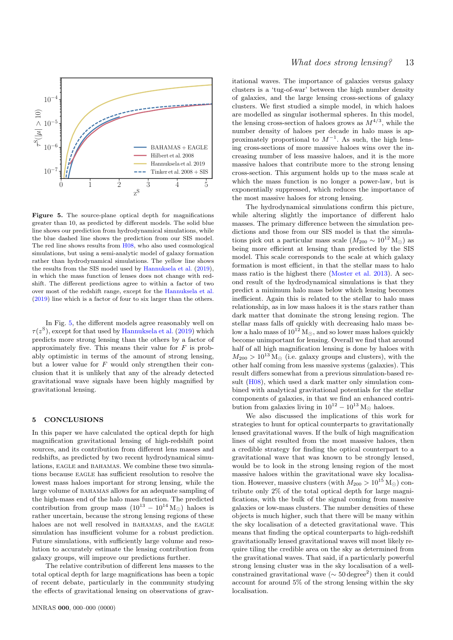

<span id="page-12-1"></span>Figure 5. The source-plane optical depth for magnifications greater than 10, as predicted by different models. The solid blue line shows our prediction from hydrodynamical simulations, while the blue dashed line shows the prediction from our SIS model. The red line shows results from [H08,](#page-13-10) who also used cosmological simulations, but using a semi-analytic model of galaxy formation rather than hydrodynamical simulations. The yellow line shows the results from the SIS model used by [Hannuksela et al.](#page-13-9) [\(2019\)](#page-13-9), in which the mass function of lenses does not change with redshift. The different predictions agree to within a factor of two over most of the redshift range, except for the [Hannuksela et al.](#page-13-9) [\(2019\)](#page-13-9) line which is a factor of four to six larger than the others.

In Fig. [5,](#page-12-1) the different models agree reasonably well on  $\tau(z^{S})$ , except for that used by [Hannuksela et al.](#page-13-9) [\(2019\)](#page-13-9) which predicts more strong lensing than the others by a factor of approximately five. This means their value for F is probably optimistic in terms of the amount of strong lensing, but a lower value for  $F$  would only strengthen their conclusion that it is unlikely that any of the already detected gravitational wave signals have been highly magnified by gravitational lensing.

## <span id="page-12-0"></span>5 CONCLUSIONS

In this paper we have calculated the optical depth for high magnification gravitational lensing of high-redshift point sources, and its contribution from different lens masses and redshifts, as predicted by two recent hydrodynamical simulations, EAGLE and BAHAMAS. We combine these two simulations because EAGLE has sufficient resolution to resolve the lowest mass haloes important for strong lensing, while the large volume of BAHAMAS allows for an adequate sampling of the high-mass end of the halo mass function. The predicted contribution from group mass  $(10^{13} - 10^{14} M_{\odot})$  haloes is rather uncertain, because the strong lensing regions of these haloes are not well resolved in BAHAMAS, and the EAGLE simulation has insufficient volume for a robust prediction. Future simulations, with sufficiently large volume and resolution to accurately estimate the lensing contribution from galaxy groups, will improve our predictions further.

The relative contribution of different lens masses to the total optical depth for large magnifications has been a topic of recent debate, particularly in the community studying the effects of gravitational lensing on observations of grav-

itational waves. The importance of galaxies versus galaxy clusters is a 'tug-of-war' between the high number density of galaxies, and the large lensing cross-sections of galaxy clusters. We first studied a simple model, in which haloes are modelled as singular isothermal spheres. In this model, the lensing cross-section of haloes grows as  $M^{4/3}$ , while the number density of haloes per decade in halo mass is approximately proportional to  $M^{-1}$ . As such, the high lensing cross-sections of more massive haloes wins over the increasing number of less massive haloes, and it is the more massive haloes that contribute more to the strong lensing cross-section. This argument holds up to the mass scale at which the mass function is no longer a power-law, but is exponentially suppressed, which reduces the importance of the most massive haloes for strong lensing.

The hydrodynamical simulations confirm this picture, while altering slightly the importance of different halo masses. The primary difference between the simulation predictions and those from our SIS model is that the simulations pick out a particular mass scale  $(M_{200} \sim 10^{12} M_{\odot})$  as being more efficient at lensing than predicted by the SIS model. This scale corresponds to the scale at which galaxy formation is most efficient, in that the stellar mass to halo mass ratio is the highest there [\(Moster et al.](#page-13-39) [2013\)](#page-13-39). A second result of the hydrodynamical simulations is that they predict a minimum halo mass below which lensing becomes inefficient. Again this is related to the stellar to halo mass relationship, as in low mass haloes it is the stars rather than dark matter that dominate the strong lensing region. The stellar mass falls off quickly with decreasing halo mass below a halo mass of  $10^{12}$  M<sub>O</sub>, and so lower mass haloes quickly become unimportant for lensing. Overall we find that around half of all high magnification lensing is done by haloes with  $M_{200} > 10^{13}$  M<sub>o</sub> (i.e. galaxy groups and clusters), with the other half coming from less massive systems (galaxies). This result differs somewhat from a previous simulation-based result [\(H08\)](#page-13-10), which used a dark matter only simulation combined with analytical gravitational potentials for the stellar components of galaxies, in that we find an enhanced contribution from galaxies living in  $10^{12} - 10^{13}$  M<sub>o</sub> haloes.

We also discussed the implications of this work for strategies to hunt for optical counterparts to gravitationally lensed gravitational waves. If the bulk of high magnification lines of sight resulted from the most massive haloes, then a credible strategy for finding the optical counterpart to a gravitational wave that was known to be strongly lensed, would be to look in the strong lensing region of the most massive haloes within the gravitational wave sky localisation. However, massive clusters (with  $M_{200} > 10^{15}$  M<sub>o</sub>) contribute only 2% of the total optical depth for large magnifications, with the bulk of the signal coming from massive galaxies or low-mass clusters. The number densities of these objects is much higher, such that there will be many within the sky localisation of a detected gravitational wave. This means that finding the optical counterparts to high-redshift gravitationally lensed gravitational waves will most likely require tiling the credible area on the sky as determined from the gravitational waves. That said, if a particularly powerful strong lensing cluster was in the sky localisation of a wellconstrained gravitational wave  $(\sim 50 \text{ degree}^2)$  then it could account for around 5% of the strong lensing within the sky localisation.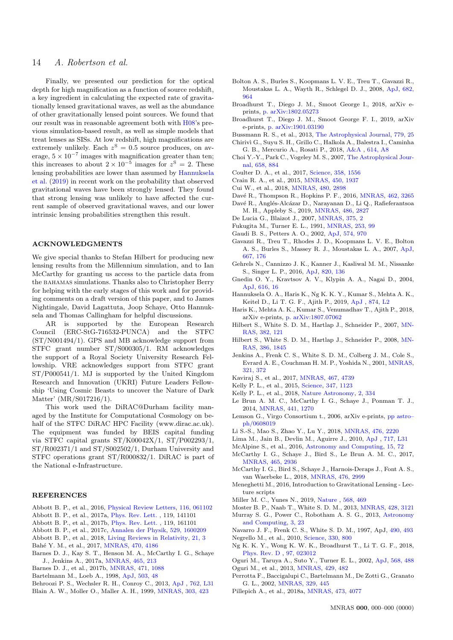# 14 A. Robertson et al.

Finally, we presented our prediction for the optical depth for high magnification as a function of source redshift, a key ingredient in calculating the expected rate of gravitationally lensed gravitational waves, as well as the abundance of other gravitationally lensed point sources. We found that our result was in reasonable agreement both with [H08'](#page-13-10)s previous simulation-based result, as well as simple models that treat lenses as SISs. At low redshift, high magnifications are extremely unlikely. Each  $z^{S} = 0.5$  source produces, on average,  $5 \times 10^{-7}$  images with magnification greater than ten; this increases to about  $2 \times 10^{-5}$  images for  $z^{S} = 2$ . These lensing probabilities are lower than assumed by [Hannuksela](#page-13-9) [et al.](#page-13-9) [\(2019\)](#page-13-9) in recent work on the probability that observed gravitational waves have been strongly lensed. They found that strong lensing was unlikely to have affected the current sample of observed gravitational waves, and our lower intrinsic lensing probabilities strengthen this result.

#### ACKNOWLEDGMENTS

We give special thanks to Stefan Hilbert for producing new lensing results from the Millennium simulation, and to Ian McCarthy for granting us access to the particle data from the bahamas simulations. Thanks also to Christopher Berry for helping with the early stages of this work and for providing comments on a draft version of this paper, and to James Nightingale, David Lagattuta, Joop Schaye, Otto Hannuksela and Thomas Callingham for helpful discussions.

AR is supported by the European Research Council (ERC-StG-716532-PUNCA) and the STFC (ST/N001494/1). GPS and MB acknowledge support from STFC grant number ST/S000305/1. RM acknowledges the support of a Royal Society University Research Fellowship. VRE acknowledges support from STFC grant ST/P000541/1. MJ is supported by the United Kingdom Research and Innovation (UKRI) Future Leaders Fellowship 'Using Cosmic Beasts to uncover the Nature of Dark Matter' (MR/S017216/1).

This work used the DiRAC@Durham facility managed by the Institute for Computational Cosmology on behalf of the STFC DiRAC HPC Facility (www.dirac.ac.uk). The equipment was funded by BEIS capital funding via STFC capital grants ST/K00042X/1, ST/P002293/1, ST/R002371/1 and ST/S002502/1, Durham University and STFC operations grant ST/R000832/1. DiRAC is part of the National e-Infrastructure.

## **REFERENCES**

- <span id="page-13-2"></span>Abbott B. P., et al., 2016, [Physical Review Letters,](http://dx.doi.org/10.1103/PhysRevLett.116.061102) [116, 061102](https://ui.adsabs.harvard.edu/abs/2016PhRvL.116f1102A)
- <span id="page-13-51"></span>Abbott B. P., et al., 2017a, [Phys. Rev. Lett.](http://dx.doi.org/10.1103/PhysRevLett.119.141101) , 119, 141101
- <span id="page-13-48"></span>Abbott B. P., et al., 2017b, [Phys. Rev. Lett.](http://dx.doi.org/10.1103/PhysRevLett.119.161101) , 119, 161101
- <span id="page-13-4"></span>Abbott B. P., et al., 2017c, [Annalen der Physik,](http://dx.doi.org/10.1002/andp.201600209) [529, 1600209](https://ui.adsabs.harvard.edu/abs/2017AnP...52900209A)
- <span id="page-13-31"></span><span id="page-13-6"></span>Abbott B. P., et al., 2018, [Living Reviews in Relativity,](http://dx.doi.org/10.1007/s41114-018-0012-9) [21, 3](https://ui.adsabs.harvard.edu/abs/2018LRR....21....3A) Bahé Y. M., et al., 2017, [MNRAS,](http://dx.doi.org/10.1093/mnras/stx1403) [470, 4186](http://adsabs.harvard.edu/abs/2017MNRAS.470.4186B)
- 
- <span id="page-13-29"></span>Barnes D. J., Kay S. T., Henson M. A., McCarthy I. G., Schaye J., Jenkins A., 2017a, [MNRAS,](http://dx.doi.org/10.1093/mnras/stw2722) [465, 213](https://ui.adsabs.harvard.edu/abs/2017MNRAS.465..213B)
- <span id="page-13-32"></span>Barnes D. J., et al., 2017b, [MNRAS,](http://dx.doi.org/10.1093/mnras/stx1647) [471, 1088](http://adsabs.harvard.edu/abs/2017MNRAS.471.1088B)
- <span id="page-13-43"></span>Bartelmann M., Loeb A., 1998, [ApJ,](http://dx.doi.org/10.1086/305989) [503, 48](https://ui.adsabs.harvard.edu/abs/1998ApJ...503...48B)
- <span id="page-13-38"></span>Behroozi P. S., Wechsler R. H., Conroy C., 2013, [ApJ](http://dx.doi.org/10.1088/2041-8205/762/2/L31) , [762, L31](http://adsabs.harvard.edu/abs/2013ApJ...762L..31B)
- <span id="page-13-44"></span>Blain A. W., Moller O., Maller A. H., 1999, [MNRAS,](http://dx.doi.org/10.1046/j.1365-8711.1999.02221.x) [303, 423](https://ui.adsabs.harvard.edu/abs/1999MNRAS.303..423B)
- <span id="page-13-0"></span>Bolton A. S., Burles S., Koopmans L. V. E., Treu T., Gavazzi R., Moustakas L. A., Wayth R., Schlegel D. J., 2008, [ApJ,](http://dx.doi.org/10.1086/589327) [682,](https://ui.adsabs.harvard.edu/abs/2008ApJ...682..964B) [964](https://ui.adsabs.harvard.edu/abs/2008ApJ...682..964B)
- <span id="page-13-7"></span>Broadhurst T., Diego J. M., Smoot George I., 2018, arXiv eprints, [p. arXiv:1802.05273](https://ui.adsabs.harvard.edu/abs/2018arXiv180205273B)
- <span id="page-13-8"></span>Broadhurst T., Diego J. M., Smoot George F. I., 2019, arXiv e-prints, [p. arXiv:1901.03190](https://ui.adsabs.harvard.edu/abs/2019arXiv190103190B)
- <span id="page-13-14"></span>Bussmann R. S., et al., 2013, [The Astrophysical Journal,](http://dx.doi.org/10.1088/0004-637X/779/1/25) [779, 25](https://ui.adsabs.harvard.edu/abs/2013ApJ...779...25B)
- <span id="page-13-37"></span>Chirivì G., Suyu S. H., Grillo C., Halkola A., Balestra I., Caminha G. B., Mercurio A., Rosati P., 2018, [A&A](http://dx.doi.org/10.1051/0004-6361/201731433) , [614, A8](https://ui.adsabs.harvard.edu/abs/2018A&A...614A...8C)
- <span id="page-13-12"></span>Choi Y.-Y., Park C., Vogeley M. S., 2007, [The Astrophysical Jour](http://dx.doi.org/10.1086/511060)[nal,](http://dx.doi.org/10.1086/511060) [658, 884](https://ui.adsabs.harvard.edu/abs/2007ApJ...658..884C)
- <span id="page-13-49"></span>Coulter D. A., et al., 2017, [Science,](http://dx.doi.org/10.1126/science.aap9811) [358, 1556](https://ui.adsabs.harvard.edu/abs/2017Sci...358.1556C)
- <span id="page-13-34"></span>Crain R. A., et al., 2015, [MNRAS,](http://dx.doi.org/10.1093/mnras/stv725) [450, 1937](http://adsabs.harvard.edu/abs/2015MNRAS.450.1937C)
- <span id="page-13-33"></span>Cui W., et al., 2018, [MNRAS,](http://dx.doi.org/10.1093/mnras/sty2111) [480, 2898](https://ui.adsabs.harvard.edu/abs/2018MNRAS.480.2898C)
- <span id="page-13-24"></span>Davé R., Thompson R., Hopkins P. F., 2016, [MNRAS,](http://dx.doi.org/10.1093/mnras/stw1862) [462, 3265](https://ui.adsabs.harvard.edu/abs/2016MNRAS.462.3265D)
- <span id="page-13-27"></span>Davé R., Anglés-Alcázar D., Narayanan D., Li Q., Rafieferantsoa M. H., Appleby S., 2019, [MNRAS,](http://dx.doi.org/10.1093/mnras/stz937) [486, 2827](https://ui.adsabs.harvard.edu/abs/2019MNRAS.486.2827D)
- <span id="page-13-42"></span>De Lucia G., Blaizot J., 2007, [MNRAS,](http://dx.doi.org/10.1111/j.1365-2966.2006.11287.x) [375, 2](https://ui.adsabs.harvard.edu/abs/2007MNRAS.375....2D)
- <span id="page-13-53"></span>Fukugita M., Turner E. L., 1991, [MNRAS,](http://dx.doi.org/10.1093/mnras/253.1.99) [253, 99](https://ui.adsabs.harvard.edu/abs/1991MNRAS.253...99F)
- <span id="page-13-19"></span>Gaudi B. S., Petters A. O., 2002, [ApJ,](http://dx.doi.org/10.1086/341063) [574, 970](http://adsabs.harvard.edu/abs/2002ApJ...574..970G)
- <span id="page-13-17"></span>Gavazzi R., Treu T., Rhodes J. D., Koopmans L. V. E., Bolton A. S., Burles S., Massey R. J., Moustakas L. A., 2007, [ApJ,](http://dx.doi.org/10.1086/519237) [667, 176](https://ui.adsabs.harvard.edu/abs/2007ApJ...667..176G)
- <span id="page-13-50"></span>Gehrels N., Cannizzo J. K., Kanner J., Kasliwal M. M., Nissanke S., Singer L. P., 2016, [ApJ,](http://dx.doi.org/10.3847/0004-637X/820/2/136) [820, 136](https://ui.adsabs.harvard.edu/abs/2016ApJ...820..136G)
- <span id="page-13-41"></span>Gnedin O. Y., Kravtsov A. V., Klypin A. A., Nagai D., 2004, [ApJ,](http://dx.doi.org/10.1086/424914) [616, 16](https://ui.adsabs.harvard.edu/abs/2004ApJ...616...16G)
- <span id="page-13-9"></span>Hannuksela O. A., Haris K., Ng K. K. Y., Kumar S., Mehta A. K., Keitel D., Li T. G. F., Ajith P., 2019, [ApJ](http://dx.doi.org/10.3847/2041-8213/ab0c0f) , [874, L2](https://ui.adsabs.harvard.edu/abs/2019ApJ...874L...2H)
- <span id="page-13-11"></span>Haris K., Mehta A. K., Kumar S., Venumadhav T., Ajith P., 2018, arXiv e-prints, [p. arXiv:1807.07062](https://ui.adsabs.harvard.edu/abs/2018arXiv180707062H)
- <span id="page-13-22"></span>Hilbert S., White S. D. M., Hartlap J., Schneider P., 2007, [MN-](http://dx.doi.org/10.1111/j.1365-2966.2007.12391.x)[RAS,](http://dx.doi.org/10.1111/j.1365-2966.2007.12391.x) [382, 121](https://ui.adsabs.harvard.edu/abs/2007MNRAS.382..121H)
- <span id="page-13-10"></span>Hilbert S., White S. D. M., Hartlap J., Schneider P., 2008, [MN-](http://dx.doi.org/10.1111/j.1365-2966.2008.13190.x)[RAS,](http://dx.doi.org/10.1111/j.1365-2966.2008.13190.x) [386, 1845](http://adsabs.harvard.edu/abs/2008MNRAS.386.1845H)
- <span id="page-13-20"></span>Jenkins A., Frenk C. S., White S. D. M., Colberg J. M., Cole S., Evrard A. E., Couchman H. M. P., Yoshida N., 2001, [MNRAS,](http://dx.doi.org/10.1046/j.1365-8711.2001.04029.x) [321, 372](http://adsabs.harvard.edu/abs/2001MNRAS.321..372J)
- <span id="page-13-25"></span>Kaviraj S., et al., 2017, [MNRAS,](http://dx.doi.org/10.1093/mnras/stx126) [467, 4739](https://ui.adsabs.harvard.edu/abs/2017MNRAS.467.4739K)
- <span id="page-13-15"></span>Kelly P. L., et al., 2015, [Science,](http://dx.doi.org/10.1126/science.aaa3350) [347, 1123](https://ui.adsabs.harvard.edu/abs/2015Sci...347.1123K)
- <span id="page-13-1"></span>Kelly P. L., et al., 2018, [Nature Astronomy,](http://dx.doi.org/10.1038/s41550-018-0430-3) [2, 334](https://ui.adsabs.harvard.edu/abs/2018NatAs...2..334K)
- <span id="page-13-28"></span>Le Brun A. M. C., McCarthy I. G., Schaye J., Ponman T. J., 2014, [MNRAS,](http://dx.doi.org/10.1093/mnras/stu608) [441, 1270](https://ui.adsabs.harvard.edu/abs/2014MNRAS.441.1270L)
- <span id="page-13-45"></span>Lemson G., Virgo Consortium t., 2006, arXiv e-prints, [pp astro–](https://ui.adsabs.harvard.edu/abs/2006astro.ph..8019L) [ph/0608019](https://ui.adsabs.harvard.edu/abs/2006astro.ph..8019L)
- <span id="page-13-5"></span>Li S.-S., Mao S., Zhao Y., Lu Y., 2018, [MNRAS,](http://dx.doi.org/10.1093/mnras/sty411) [476, 2220](https://ui.adsabs.harvard.edu/abs/2018MNRAS.476.2220L)
- <span id="page-13-47"></span>Lima M., Jain B., Devlin M., Aguirre J., 2010, [ApJ](http://dx.doi.org/10.1088/2041-8205/717/1/L31) , [717, L31](https://ui.adsabs.harvard.edu/abs/2010ApJ...717L..31L)
- <span id="page-13-36"></span>McAlpine S., et al., 2016, [Astronomy and Computing,](http://dx.doi.org/10.1016/j.ascom.2016.02.004) [15, 72](https://ui.adsabs.harvard.edu/abs/2016A&C....15...72M)
- <span id="page-13-30"></span>McCarthy I. G., Schaye J., Bird S., Le Brun A. M. C., 2017, [MNRAS,](http://dx.doi.org/10.1093/mnras/stw2792) [465, 2936](https://ui.adsabs.harvard.edu/abs/2017MNRAS.465.2936M)
- <span id="page-13-35"></span>McCarthy I. G., Bird S., Schaye J., Harnois-Deraps J., Font A. S., van Waerbeke L., 2018, [MNRAS,](http://dx.doi.org/10.1093/mnras/sty377) [476, 2999](https://ui.adsabs.harvard.edu/abs/2018MNRAS.476.2999M)
- <span id="page-13-18"></span>Meneghetti M., 2016, Introduction to Gravitational Lensing - Lecture scripts
- <span id="page-13-3"></span>Miller M. C., Yunes N., 2019, [Nature](http://dx.doi.org/10.1038/s41586-019-1129-z) , [568, 469](https://ui.adsabs.harvard.edu/abs/2019Natur.568..469M)
- <span id="page-13-39"></span>Moster B. P., Naab T., White S. D. M., 2013, [MNRAS,](http://dx.doi.org/10.1093/mnras/sts261) [428, 3121](http://adsabs.harvard.edu/abs/2013MNRAS.428.3121M)
- <span id="page-13-21"></span>Murray S. G., Power C., Robotham A. S. G., 2013, [Astronomy](http://dx.doi.org/10.1016/j.ascom.2013.11.001) [and Computing,](http://dx.doi.org/10.1016/j.ascom.2013.11.001) [3, 23](https://ui.adsabs.harvard.edu/abs/2013A&C.....3...23M)
- <span id="page-13-40"></span><span id="page-13-13"></span>Navarro J. F., Frenk C. S., White S. D. M., 1997, ApJ, [490, 493](http://adsabs.harvard.edu/abs/1997ApJ...490..493N) Negrello M., et al., 2010, [Science,](http://dx.doi.org/10.1126/science.1193420) [330, 800](https://ui.adsabs.harvard.edu/abs/2010Sci...330..800N)
- <span id="page-13-52"></span>Ng K. K. Y., Wong K. W. K., Broadhurst T., Li T. G. F., 2018, [Phys. Rev. D](http://dx.doi.org/10.1103/PhysRevD.97.023012) , [97, 023012](http://adsabs.harvard.edu/abs/2018PhRvD..97b3012N)
- <span id="page-13-23"></span>Oguri M., Taruya A., Suto Y., Turner E. L., 2002, [ApJ,](http://dx.doi.org/10.1086/339064) [568, 488](https://ui.adsabs.harvard.edu/abs/2002ApJ...568..488O)
- <span id="page-13-16"></span>Oguri M., et al., 2013, [MNRAS,](http://dx.doi.org/10.1093/mnras/sts351) [429, 482](https://ui.adsabs.harvard.edu/abs/2013MNRAS.429..482O)
- <span id="page-13-46"></span>Perrotta F., Baccigalupi C., Bartelmann M., De Zotti G., Granato G. L., 2002, [MNRAS,](http://dx.doi.org/10.1046/j.1365-8711.2002.05009.x) [329, 445](https://ui.adsabs.harvard.edu/abs/2002MNRAS.329..445P)
- <span id="page-13-26"></span>Pillepich A., et al., 2018a, [MNRAS,](http://dx.doi.org/10.1093/mnras/stx2656) [473, 4077](https://ui.adsabs.harvard.edu/abs/2018MNRAS.473.4077P)